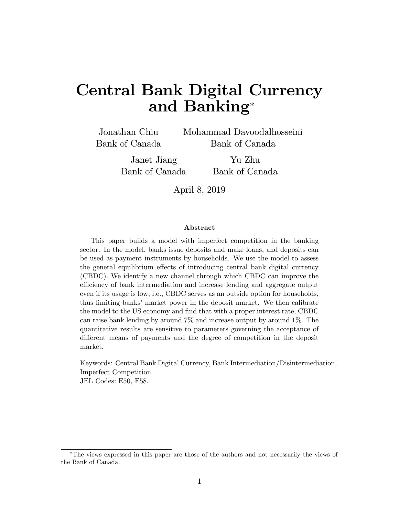# Central Bank Digital Currency and Banking

Jonathan Chiu Bank of Canada Mohammad Davoodalhosseini Bank of Canada

Janet Jiang Bank of Canada

Yu Zhu Bank of Canada

April 8, 2019

#### Abstract

This paper builds a model with imperfect competition in the banking sector. In the model, banks issue deposits and make loans, and deposits can be used as payment instruments by households. We use the model to assess the general equilibrium effects of introducing central bank digital currency (CBDC). We identify a new channel through which CBDC can improve the efficiency of bank intermediation and increase lending and aggregate output even if its usage is low, i.e., CBDC serves as an outside option for households, thus limiting banks' market power in the deposit market. We then calibrate the model to the US economy and find that with a proper interest rate, CBDC can raise bank lending by around 7% and increase output by around 1%. The quantitative results are sensitive to parameters governing the acceptance of different means of payments and the degree of competition in the deposit market.

Keywords: Central Bank Digital Currency, Bank Intermediation/Disintermediation, Imperfect Competition. JEL Codes: E50, E58.

The views expressed in this paper are those of the authors and not necessarily the views of the Bank of Canada.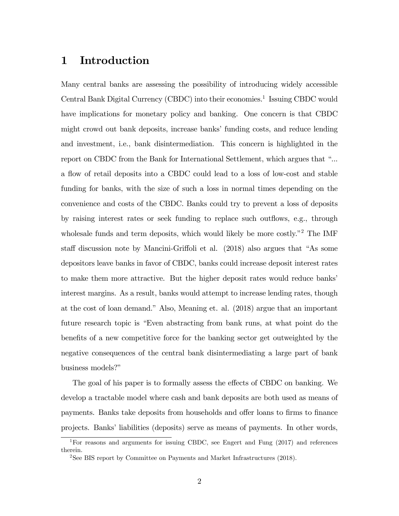# 1 Introduction

Many central banks are assessing the possibility of introducing widely accessible Central Bank Digital Currency (CBDC) into their economies.<sup>1</sup> Issuing CBDC would have implications for monetary policy and banking. One concern is that CBDC might crowd out bank deposits, increase banks' funding costs, and reduce lending and investment, i.e., bank disintermediation. This concern is highlighted in the report on CBDC from the Bank for International Settlement, which argues that "... a flow of retail deposits into a CBDC could lead to a loss of low-cost and stable funding for banks, with the size of such a loss in normal times depending on the convenience and costs of the CBDC. Banks could try to prevent a loss of deposits by raising interest rates or seek funding to replace such outflows, e.g., through wholesale funds and term deposits, which would likely be more costly.<sup> $2$ </sup> The IMF staff discussion note by Mancini-Griffoli et al.  $(2018)$  also argues that "As some depositors leave banks in favor of CBDC, banks could increase deposit interest rates to make them more attractive. But the higher deposit rates would reduce banks' interest margins. As a result, banks would attempt to increase lending rates, though at the cost of loan demand." Also, Meaning et. al.  $(2018)$  argue that an important future research topic is "Even abstracting from bank runs, at what point do the benefits of a new competitive force for the banking sector get outweighted by the negative consequences of the central bank disintermediating a large part of bank business models?"

The goal of his paper is to formally assess the effects of CBDC on banking. We develop a tractable model where cash and bank deposits are both used as means of payments. Banks take deposits from households and offer loans to firms to finance projects. Banks' liabilities (deposits) serve as means of payments. In other words,

<sup>1</sup>For reasons and arguments for issuing CBDC, see Engert and Fung (2017) and references therein.

<sup>&</sup>lt;sup>2</sup>See BIS report by Committee on Payments and Market Infrastructures  $(2018)$ .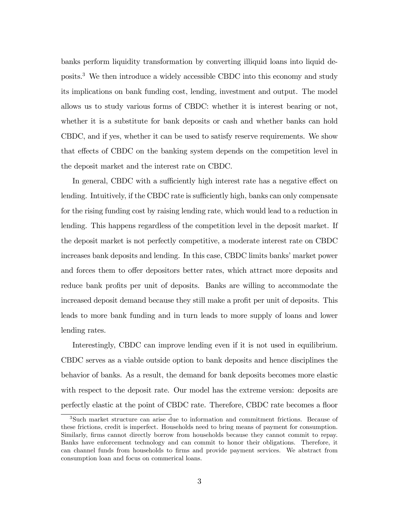banks perform liquidity transformation by converting illiquid loans into liquid deposits.<sup>3</sup> We then introduce a widely accessible CBDC into this economy and study its implications on bank funding cost, lending, investment and output. The model allows us to study various forms of CBDC: whether it is interest bearing or not, whether it is a substitute for bank deposits or cash and whether banks can hold CBDC, and if yes, whether it can be used to satisfy reserve requirements. We show that effects of CBDC on the banking system depends on the competition level in the deposit market and the interest rate on CBDC.

In general, CBDC with a sufficiently high interest rate has a negative effect on lending. Intuitively, if the CBDC rate is sufficiently high, banks can only compensate for the rising funding cost by raising lending rate, which would lead to a reduction in lending. This happens regardless of the competition level in the deposit market. If the deposit market is not perfectly competitive, a moderate interest rate on CBDC increases bank deposits and lending. In this case, CBDC limits banks' market power and forces them to offer depositors better rates, which attract more deposits and reduce bank profits per unit of deposits. Banks are willing to accommodate the increased deposit demand because they still make a profit per unit of deposits. This leads to more bank funding and in turn leads to more supply of loans and lower lending rates.

Interestingly, CBDC can improve lending even if it is not used in equilibrium. CBDC serves as a viable outside option to bank deposits and hence disciplines the behavior of banks. As a result, the demand for bank deposits becomes more elastic with respect to the deposit rate. Our model has the extreme version: deposits are perfectly elastic at the point of CBDC rate. Therefore, CBDC rate becomes a floor

<sup>3</sup>Such market structure can arise due to information and commitment frictions. Because of these frictions, credit is imperfect. Households need to bring means of payment for consumption. Similarly, firms cannot directly borrow from households because they cannot commit to repay. Banks have enforcement technology and can commit to honor their obligations. Therefore, it can channel funds from households to firms and provide payment services. We abstract from consumption loan and focus on commerical loans.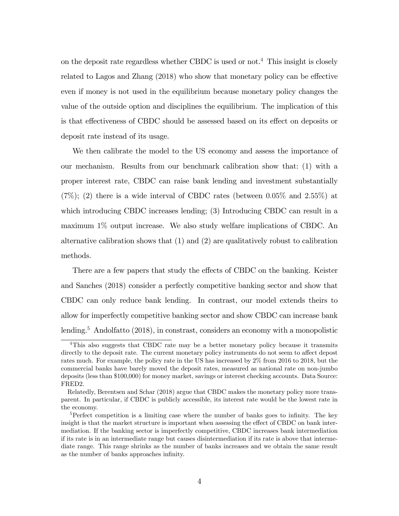on the deposit rate regardless whether CBDC is used or not.<sup>4</sup> This insight is closely related to Lagos and Zhang  $(2018)$  who show that monetary policy can be effective even if money is not used in the equilibrium because monetary policy changes the value of the outside option and disciplines the equilibrium. The implication of this is that effectiveness of CBDC should be assessed based on its effect on deposits or deposit rate instead of its usage.

We then calibrate the model to the US economy and assess the importance of our mechanism. Results from our benchmark calibration show that: (1) with a proper interest rate, CBDC can raise bank lending and investment substantially  $(7\%)$ ; (2) there is a wide interval of CBDC rates (between 0.05\%) and 2.55\%) at which introducing CBDC increases lending; (3) Introducing CBDC can result in a maximum 1% output increase. We also study welfare implications of CBDC. An alternative calibration shows that (1) and (2) are qualitatively robust to calibration methods.

There are a few papers that study the effects of CBDC on the banking. Keister and Sanches (2018) consider a perfectly competitive banking sector and show that CBDC can only reduce bank lending. In contrast, our model extends theirs to allow for imperfectly competitive banking sector and show CBDC can increase bank lending.<sup>5</sup> Andolfatto (2018), in constrast, considers an economy with a monopolistic

<sup>&</sup>lt;sup>4</sup>This also suggests that CBDC rate may be a better monetary policy because it transmits directly to the deposit rate. The current monetary policy instruments do not seem to affect depost rates much. For example, the policy rate in the US has increased by 2% from 2016 to 2018, but the commercial banks have barely moved the deposit rates, measured as national rate on non-jumbo deposits (less than \$100,000) for money market, savings or interest checking accounts. Data Source: FRED2.

Relatedly, Berentsen and Schar (2018) argue that CBDC makes the monetary policy more transparent. In particular, if CBDC is publicly accessible, its interest rate would be the lowest rate in the economy.

 $5$ Perfect competition is a limiting case where the number of banks goes to infinity. The key insight is that the market structure is important when assessing the effect of CBDC on bank intermediation. If the banking sector is imperfectly competitive, CBDC increases bank intermediation if its rate is in an intermediate range but causes disintermediation if its rate is above that intermediate range. This range shrinks as the number of banks increases and we obtain the same result as the number of banks approaches infinity.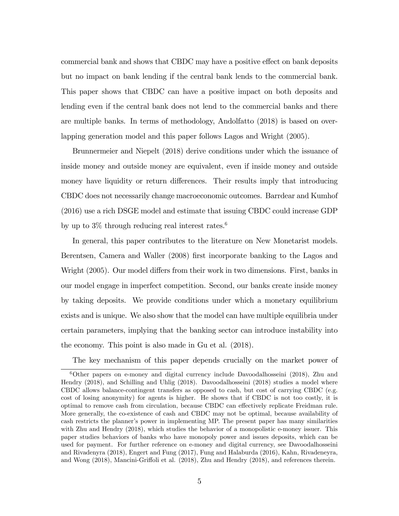commercial bank and shows that CBDC may have a positive effect on bank deposits but no impact on bank lending if the central bank lends to the commercial bank. This paper shows that CBDC can have a positive impact on both deposits and lending even if the central bank does not lend to the commercial banks and there are multiple banks. In terms of methodology, Andolfatto (2018) is based on overlapping generation model and this paper follows Lagos and Wright (2005).

Brunnermeier and Niepelt (2018) derive conditions under which the issuance of inside money and outside money are equivalent, even if inside money and outside money have liquidity or return differences. Their results imply that introducing CBDC does not necessarily change macroeconomic outcomes. Barrdear and Kumhof (2016) use a rich DSGE model and estimate that issuing CBDC could increase GDP by up to  $3\%$  through reducing real interest rates.<sup>6</sup>

In general, this paper contributes to the literature on New Monetarist models. Berentsen, Camera and Waller (2008) first incorporate banking to the Lagos and Wright (2005). Our model differs from their work in two dimensions. First, banks in our model engage in imperfect competition. Second, our banks create inside money by taking deposits. We provide conditions under which a monetary equilibrium exists and is unique. We also show that the model can have multiple equilibria under certain parameters, implying that the banking sector can introduce instability into the economy. This point is also made in Gu et al. (2018).

The key mechanism of this paper depends crucially on the market power of

 $6$ Other papers on e-money and digital currency include Davoodalhosseini (2018), Zhu and Hendry (2018), and Schilling and Uhlig (2018). Davoodalhosseini (2018) studies a model where CBDC allows balance-contingent transfers as opposed to cash, but cost of carrying CBDC (e.g. cost of losing anonymity) for agents is higher. He shows that if CBDC is not too costly, it is optimal to remove cash from circulation, because CBDC can effectively replicate Freidman rule. More generally, the co-existence of cash and CBDC may not be optimal, because availability of cash restricts the planner's power in implementing MP. The present paper has many similarities with Zhu and Hendry (2018), which studies the behavior of a monopolistic e-money issuer. This paper studies behaviors of banks who have monopoly power and issues deposits, which can be used for payment. For further reference on e-money and digital currency, see Davoodalhosseini and Rivadenyra (2018), Engert and Fung (2017), Fung and Halaburda (2016), Kahn, Rivadeneyra, and Wong  $(2018)$ , Mancini-Griffoli et al.  $(2018)$ , Zhu and Hendry  $(2018)$ , and references therein.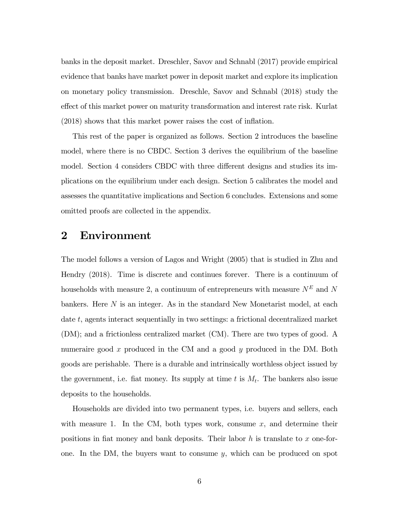banks in the deposit market. Dreschler, Savov and Schnabl (2017) provide empirical evidence that banks have market power in deposit market and explore its implication on monetary policy transmission. Dreschle, Savov and Schnabl (2018) study the effect of this market power on maturity transformation and interest rate risk. Kurlat  $(2018)$  shows that this market power raises the cost of inflation.

This rest of the paper is organized as follows. Section 2 introduces the baseline model, where there is no CBDC. Section 3 derives the equilibrium of the baseline model. Section 4 considers CBDC with three different designs and studies its implications on the equilibrium under each design. Section 5 calibrates the model and assesses the quantitative implications and Section 6 concludes. Extensions and some omitted proofs are collected in the appendix.

### 2 Environment

The model follows a version of Lagos and Wright (2005) that is studied in Zhu and Hendry (2018). Time is discrete and continues forever. There is a continuum of households with measure 2, a continuum of entrepreneurs with measure  $N^E$  and  $N$ bankers. Here N is an integer. As in the standard New Monetarist model, at each date t, agents interact sequentially in two settings: a frictional decentralized market (DM); and a frictionless centralized market (CM). There are two types of good. A numeraire good  $x$  produced in the CM and a good  $y$  produced in the DM. Both goods are perishable. There is a durable and intrinsically worthless object issued by the government, i.e. fiat money. Its supply at time  $t$  is  $M_t$ . The bankers also issue deposits to the households.

Households are divided into two permanent types, i.e. buyers and sellers, each with measure 1. In the CM, both types work, consume  $x$ , and determine their positions in flat money and bank deposits. Their labor  $h$  is translate to x one-forone. In the DM, the buyers want to consume  $y$ , which can be produced on spot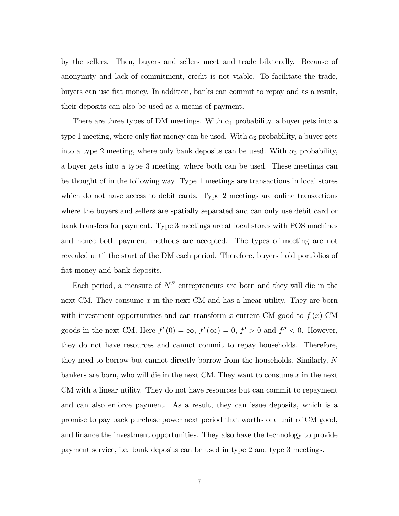by the sellers. Then, buyers and sellers meet and trade bilaterally. Because of anonymity and lack of commitment, credit is not viable. To facilitate the trade, buyers can use Öat money. In addition, banks can commit to repay and as a result, their deposits can also be used as a means of payment.

There are three types of DM meetings. With  $\alpha_1$  probability, a buyer gets into a type 1 meeting, where only fiat money can be used. With  $\alpha_2$  probability, a buyer gets into a type 2 meeting, where only bank deposits can be used. With  $\alpha_3$  probability, a buyer gets into a type 3 meeting, where both can be used. These meetings can be thought of in the following way. Type 1 meetings are transactions in local stores which do not have access to debit cards. Type 2 meetings are online transactions where the buyers and sellers are spatially separated and can only use debit card or bank transfers for payment. Type 3 meetings are at local stores with POS machines and hence both payment methods are accepted. The types of meeting are not revealed until the start of the DM each period. Therefore, buyers hold portfolios of fiat money and bank deposits.

Each period, a measure of  $N^E$  entrepreneurs are born and they will die in the next CM. They consume  $x$  in the next CM and has a linear utility. They are born with investment opportunities and can transform x current CM good to  $f(x)$  CM goods in the next CM. Here  $f'(0) = \infty$ ,  $f'(\infty) = 0$ ,  $f' > 0$  and  $f'' < 0$ . However, they do not have resources and cannot commit to repay households. Therefore, they need to borrow but cannot directly borrow from the households. Similarly, N bankers are born, who will die in the next CM. They want to consume  $x$  in the next CM with a linear utility. They do not have resources but can commit to repayment and can also enforce payment. As a result, they can issue deposits, which is a promise to pay back purchase power next period that worths one unit of CM good, and finance the investment opportunities. They also have the technology to provide payment service, i.e. bank deposits can be used in type 2 and type 3 meetings.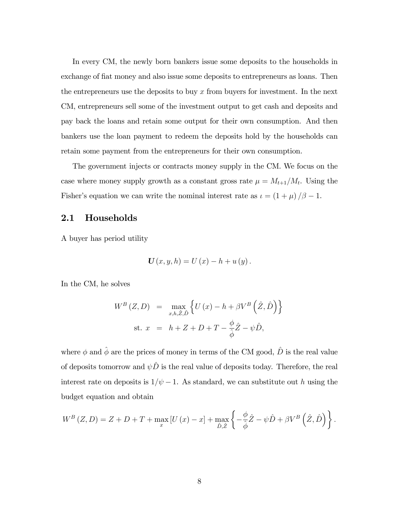In every CM, the newly born bankers issue some deposits to the households in exchange of fiat money and also issue some deposits to entrepreneurs as loans. Then the entrepreneurs use the deposits to buy  $x$  from buyers for investment. In the next CM, entrepreneurs sell some of the investment output to get cash and deposits and pay back the loans and retain some output for their own consumption. And then bankers use the loan payment to redeem the deposits hold by the households can retain some payment from the entrepreneurs for their own consumption.

The government injects or contracts money supply in the CM. We focus on the case where money supply growth as a constant gross rate  $\mu = M_{t+1}/M_t$ . Using the Fisher's equation we can write the nominal interest rate as  $\iota = (1 + \mu)/\beta - 1$ .

### 2.1 Households

A buyer has period utility

$$
U(x, y, h) = U(x) - h + u(y).
$$

In the CM, he solves

$$
W^{B}(Z, D) = \max_{x, h, \hat{Z}, \hat{D}} \left\{ U(x) - h + \beta V^{B}(\hat{Z}, \hat{D}) \right\}
$$
  
st.  $x = h + Z + D + T - \frac{\phi}{\hat{\phi}} \hat{Z} - \psi \hat{D},$ 

where  $\phi$  and  $\hat{\phi}$  are the prices of money in terms of the CM good,  $\hat{D}$  is the real value of deposits tomorrow and  $\psi \hat{D}$  is the real value of deposits today. Therefore, the real interest rate on deposits is  $1/\psi - 1$ . As standard, we can substitute out h using the budget equation and obtain

$$
W^{B}\left(Z,D\right)=Z+D+T+\max_{x}\left[U\left(x\right)-x\right]+\max_{\hat{D},\hat{Z}}\left\{-\frac{\phi}{\hat{\phi}}\hat{Z}-\psi\hat{D}+\beta V^{B}\left(\hat{Z},\hat{D}\right)\right\}.
$$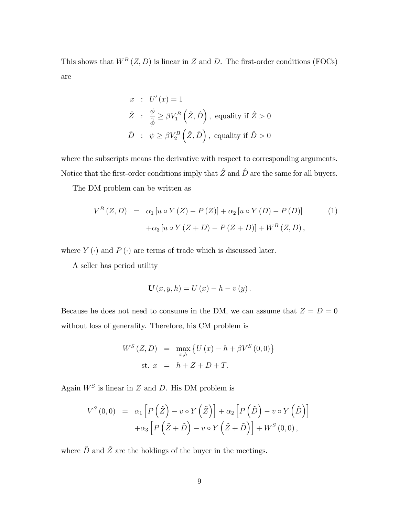This shows that  $W^B(Z, D)$  is linear in Z and D. The first-order conditions (FOCs) are

$$
x : U'(x) = 1
$$
  

$$
\hat{Z} : \frac{\phi}{\hat{\phi}} \ge \beta V_1^B \left(\hat{Z}, \hat{D}\right), \text{ equality if } \hat{Z} > 0
$$
  

$$
\hat{D} : \psi \ge \beta V_2^B \left(\hat{Z}, \hat{D}\right), \text{ equality if } \hat{D} > 0
$$

where the subscripts means the derivative with respect to corresponding arguments. Notice that the first-order conditions imply that  $\hat{Z}$  and  $\hat{D}$  are the same for all buyers.

The DM problem can be written as

$$
V^{B}(Z,D) = \alpha_{1}[u \circ Y(Z) - P(Z)] + \alpha_{2}[u \circ Y(D) - P(D)]
$$
  
+
$$
\alpha_{3}[u \circ Y(Z+D) - P(Z+D)] + W^{B}(Z,D),
$$
 (1)

where  $Y\left(\cdot\right)$  and  $P\left(\cdot\right)$  are terms of trade which is discussed later.

A seller has period utility

$$
U(x, y, h) = U(x) - h - v(y).
$$

Because he does not need to consume in the DM, we can assume that  $Z = D = 0$ without loss of generality. Therefore, his CM problem is

$$
W^{S}(Z, D) = \max_{x,h} \{ U(x) - h + \beta V^{S}(0, 0) \}
$$
  
st.  $x = h + Z + D + T.$ 

Again  $W^S$  is linear in Z and D. His DM problem is

$$
V^{S}(0,0) = \alpha_{1} \left[ P(\tilde{Z}) - v \circ Y(\tilde{Z}) \right] + \alpha_{2} \left[ P(\tilde{D}) - v \circ Y(\tilde{D}) \right] + \alpha_{3} \left[ P(\tilde{Z} + \tilde{D}) - v \circ Y(\tilde{Z} + \tilde{D}) \right] + W^{S}(0,0),
$$

where  $\tilde{D}$  and  $\tilde{Z}$  are the holdings of the buyer in the meetings.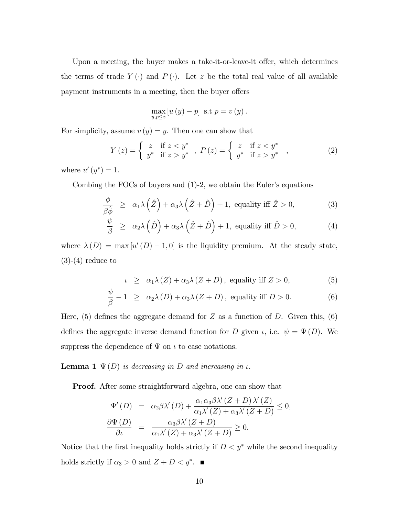Upon a meeting, the buyer makes a take-it-or-leave-it offer, which determines the terms of trade  $Y(\cdot)$  and  $P(\cdot)$ . Let z be the total real value of all available payment instruments in a meeting, then the buyer offers

$$
\max_{y,p\leq z}\left[u\left(y\right)-p\right] \text{ s.t } p=v\left(y\right).
$$

For simplicity, assume  $v(y) = y$ . Then one can show that

$$
Y(z) = \begin{cases} z & \text{if } z < y^* \\ y^* & \text{if } z > y^* \end{cases}, \ P(z) = \begin{cases} z & \text{if } z < y^* \\ y^* & \text{if } z > y^* \end{cases}, \tag{2}
$$

where  $u'(y^*) = 1$ .

Combing the FOCs of buyers and  $(1)-2$ , we obtain the Euler's equations

$$
\frac{\phi}{\beta \hat{\phi}} \ge \alpha_1 \lambda (\hat{Z}) + \alpha_3 \lambda (\hat{Z} + \hat{D}) + 1, \text{ equality iff } \hat{Z} > 0,
$$
\n(3)

$$
\frac{\psi}{\beta} \ge \alpha_2 \lambda \left(\hat{D}\right) + \alpha_3 \lambda \left(\hat{Z} + \hat{D}\right) + 1, \text{ equality iff } \hat{D} > 0,
$$
\n(4)

where  $\lambda(D) = \max[u'(D) - 1, 0]$  is the liquidity premium. At the steady state,  $(3)-(4)$  reduce to

$$
\iota \geq \alpha_1 \lambda(Z) + \alpha_3 \lambda(Z+D), \text{ equality iff } Z > 0,
$$
 (5)

$$
\frac{\psi}{\beta} - 1 \ge \alpha_2 \lambda(D) + \alpha_3 \lambda(Z + D), \text{ equality iff } D > 0.
$$
 (6)

Here, (5) defines the aggregate demand for  $Z$  as a function of  $D$ . Given this, (6) defines the aggregate inverse demand function for D given  $\iota$ , i.e.  $\psi = \Psi(D)$ . We suppress the dependence of  $\Psi$  on  $\iota$  to ease notations.

**Lemma 1**  $\Psi(D)$  is decreasing in D and increasing in  $\iota$ .

Proof. After some straightforward algebra, one can show that

$$
\Psi'(D) = \alpha_2 \beta \lambda'(D) + \frac{\alpha_1 \alpha_3 \beta \lambda'(Z+D) \lambda'(Z)}{\alpha_1 \lambda'(Z) + \alpha_3 \lambda'(Z+D)} \le 0,
$$
  

$$
\frac{\partial \Psi(D)}{\partial \iota} = \frac{\alpha_3 \beta \lambda'(Z+D)}{\alpha_1 \lambda'(Z) + \alpha_3 \lambda'(Z+D)} \ge 0.
$$

Notice that the first inequality holds strictly if  $D < y^*$  while the second inequality holds strictly if  $\alpha_3 > 0$  and  $Z + D < y^*$ .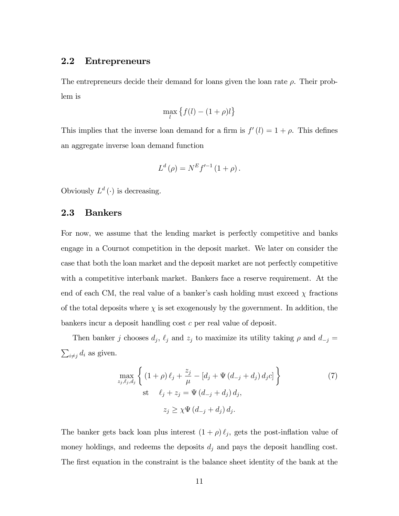### 2.2 Entrepreneurs

The entrepreneurs decide their demand for loans given the loan rate  $\rho$ . Their problem is

$$
\max_l \left\{ f(l) - (1+\rho)l \right\}
$$

This implies that the inverse loan demand for a firm is  $f'(l) = 1 + \rho$ . This defines an aggregate inverse loan demand function

$$
L^{d}(\rho) = N^{E} f'^{-1} (1 + \rho).
$$

Obviously  $L^d(\cdot)$  is decreasing.

### 2.3 Bankers

For now, we assume that the lending market is perfectly competitive and banks engage in a Cournot competition in the deposit market. We later on consider the case that both the loan market and the deposit market are not perfectly competitive with a competitive interbank market. Bankers face a reserve requirement. At the end of each CM, the real value of a banker's cash holding must exceed  $\chi$  fractions of the total deposits where  $\chi$  is set exogenously by the government. In addition, the bankers incur a deposit handling cost c per real value of deposit.

Then banker j chooses  $d_j$ ,  $\ell_j$  and  $z_j$  to maximize its utility taking  $\rho$  and  $d_{-j}$  =  $\sum_{i \neq j} d_i$  as given.

$$
\max_{z_j, \ell_j, d_j} \left\{ (1+\rho)\ell_j + \frac{z_j}{\mu} - [d_j + \Psi(d_{-j} + d_j) d_j c] \right\}
$$
\n
$$
\text{st} \quad \ell_j + z_j = \Psi(d_{-j} + d_j) d_j,
$$
\n
$$
z_j \ge \chi \Psi(d_{-j} + d_j) d_j.
$$
\n(7)

The banker gets back loan plus interest  $(1 + \rho) \ell_j$ , gets the post-inflation value of money holdings, and redeems the deposits  $d_j$  and pays the deposit handling cost. The first equation in the constraint is the balance sheet identity of the bank at the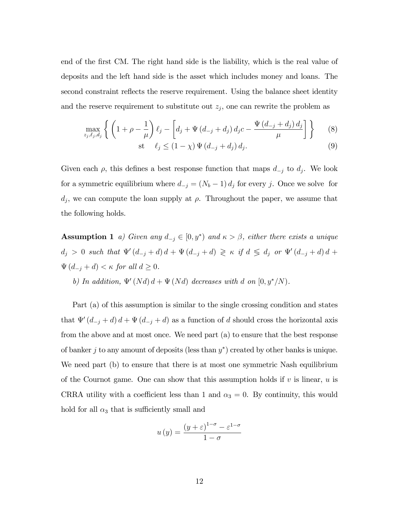end of the first CM. The right hand side is the liability, which is the real value of deposits and the left hand side is the asset which includes money and loans. The second constraint reflects the reserve requirement. Using the balance sheet identity and the reserve requirement to substitute out  $z_j$ , one can rewrite the problem as

$$
\max_{z_j, \ell_j, d_j} \left\{ \left( 1 + \rho - \frac{1}{\mu} \right) \ell_j - \left[ d_j + \Psi \left( d_{-j} + d_j \right) d_j c - \frac{\Psi \left( d_{-j} + d_j \right) d_j}{\mu} \right] \right\} \tag{8}
$$

$$
\text{st} \quad \ell_j \le (1 - \chi) \, \Psi \left( d_{-j} + d_j \right) d_j. \tag{9}
$$

Given each  $\rho$ , this defines a best response function that maps  $d_{-j}$  to  $d_j$ . We look for a symmetric equilibrium where  $d_{-j} = (N_b - 1) d_j$  for every j. Once we solve for  $d_j$ , we can compute the loan supply at  $\rho$ . Throughout the paper, we assume that the following holds.

**Assumption 1** a) Given any  $d_{-j} \in [0, y^*)$  and  $\kappa > \beta$ , either there exists a unique  $d_j > 0$  such that  $\Psi'(d_{-j} + d) d + \Psi(d_{-j} + d) \geq \kappa$  if  $d \leq d_j$  or  $\Psi'(d_{-j} + d) d +$  $\Psi(d_{-j} + d) < \kappa$  for all  $d \geq 0$ . b) In addition,  $\Psi'(Nd) d + \Psi(Nd)$  decreases with d on  $[0, y^*/N)$ .

Part (a) of this assumption is similar to the single crossing condition and states that  $\Psi'(d_{-j} + d) d + \Psi(d_{-j} + d)$  as a function of d should cross the horizontal axis from the above and at most once. We need part (a) to ensure that the best response of banker j to any amount of deposits (less than  $y^*$ ) created by other banks is unique. We need part (b) to ensure that there is at most one symmetric Nash equilibrium of the Cournot game. One can show that this assumption holds if  $v$  is linear,  $u$  is CRRA utility with a coefficient less than 1 and  $\alpha_3 = 0$ . By continuity, this would hold for all  $\alpha_3$  that is sufficiently small and

$$
u(y) = \frac{(y+\varepsilon)^{1-\sigma} - \varepsilon^{1-\sigma}}{1-\sigma}
$$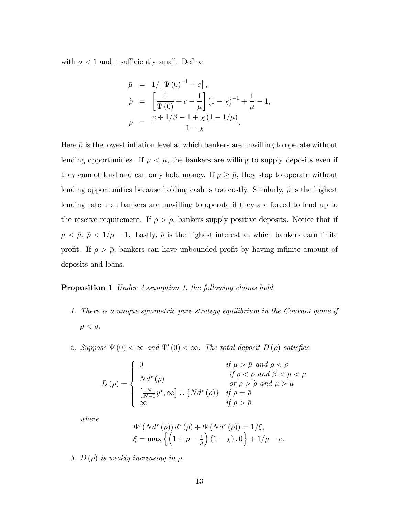with  $\sigma < 1$  and  $\varepsilon$  sufficiently small. Define

$$
\bar{\mu} = 1/\left[\Psi(0)^{-1} + c\right],
$$
\n
$$
\tilde{\rho} = \left[\frac{1}{\Psi(0)} + c - \frac{1}{\mu}\right](1 - \chi)^{-1} + \frac{1}{\mu} - 1,
$$
\n
$$
\bar{\rho} = \frac{c + 1/\beta - 1 + \chi(1 - 1/\mu)}{1 - \chi}.
$$

Here  $\bar{\mu}$  is the lowest inflation level at which bankers are unwilling to operate without lending opportunities. If  $\mu < \bar{\mu}$ , the bankers are willing to supply deposits even if they cannot lend and can only hold money. If  $\mu \geq \bar{\mu}$ , they stop to operate without lending opportunities because holding cash is too costly. Similarly,  $\tilde{\rho}$  is the highest lending rate that bankers are unwilling to operate if they are forced to lend up to the reserve requirement. If  $\rho > \tilde{\rho}$ , bankers supply positive deposits. Notice that if  $\mu < \bar{\mu}, \tilde{\rho} < 1/\mu - 1$ . Lastly,  $\bar{\rho}$  is the highest interest at which bankers earn finite profit. If  $\rho > \bar{\rho}$ , bankers can have unbounded profit by having infinite amount of deposits and loans.

#### **Proposition 1** Under Assumption 1, the following claims hold

- 1. There is a unique symmetric pure strategy equilibrium in the Cournot game if  $\rho < \overline{\rho}$ .
- 2. Suppose  $\Psi(0) < \infty$  and  $\Psi'(0) < \infty$ . The total deposit  $D(\rho)$  satisfies

$$
D(\rho) = \begin{cases} 0 & \text{if } \mu > \bar{\mu} \text{ and } \rho < \tilde{\rho} \\ N d^*(\rho) & \text{if } \rho < \bar{\rho} \text{ and } \beta < \mu < \bar{\mu} \\ \frac{N}{N-1} y^* , \infty ] \cup \{ N d^*(\rho) \} & \text{if } \rho = \bar{\rho} \\ \infty & \text{if } \rho > \bar{\rho} \end{cases}
$$

where

$$
\Psi'(Nd^*(\rho)) d^*(\rho) + \Psi(Nd^*(\rho)) = 1/\xi,\xi = \max \left\{ \left( 1 + \rho - \frac{1}{\mu} \right) (1 - \chi), 0 \right\} + 1/\mu - c.
$$

3.  $D(\rho)$  is weakly increasing in  $\rho$ .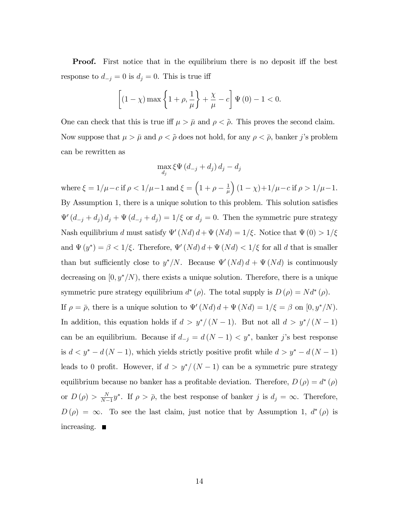**Proof.** First notice that in the equilibrium there is no deposit iff the best response to  $d_{-j} = 0$  is  $d_j = 0$ . This is true iff

$$
\left[ (1 - \chi) \max \left\{ 1 + \rho, \frac{1}{\mu} \right\} + \frac{\chi}{\mu} - c \right] \Psi (0) - 1 < 0.
$$

One can check that this is true iff  $\mu > \bar{\mu}$  and  $\rho < \tilde{\rho}$ . This proves the second claim. Now suppose that  $\mu > \bar{\mu}$  and  $\rho < \tilde{\rho}$  does not hold, for any  $\rho < \bar{\rho}$ , banker j's problem can be rewritten as

$$
\max_{d_j} \xi \Psi (d_{-j} + d_j) d_j - d_j
$$

where  $\xi = 1/\mu - c$  if  $\rho < 1/\mu - 1$  and  $\xi = \left(1 + \rho - \frac{1}{\mu}\right)$  $\mu$  $(1 - \chi) + 1/\mu - c$  if  $\rho > 1/\mu - 1$ . By Assumption 1, there is a unique solution to this problem. This solution satisfies  $\Psi'(d_{-j} + d_j) d_j + \Psi(d_{-j} + d_j) = 1/\xi$  or  $d_j = 0$ . Then the symmetric pure strategy Nash equilibrium d must satisfy  $\Psi'(Nd) d + \Psi(Nd) = 1/\xi$ . Notice that  $\Psi(0) > 1/\xi$ and  $\Psi(y^*) = \beta < 1/\xi$ . Therefore,  $\Psi'(Nd) d + \Psi(Nd) < 1/\xi$  for all d that is smaller than but sufficiently close to  $y^*/N$ . Because  $\Psi'(Nd) d + \Psi(Nd)$  is continuously decreasing on  $[0, y^*/N)$ , there exists a unique solution. Therefore, there is a unique symmetric pure strategy equilibrium  $d^*(\rho)$ . The total supply is  $D(\rho) = Nd^*(\rho)$ . If  $\rho = \overline{\rho}$ , there is a unique solution to  $\Psi'(Nd) d + \Psi(Nd) = 1/\xi = \beta$  on  $[0, y^*/N)$ . In addition, this equation holds if  $d > y^*/(N-1)$ . But not all  $d > y^*/(N-1)$ can be an equilibrium. Because if  $d_{-j} = d(N - 1) \langle y^*, \rangle$  banker j's best response is  $d < y^* - d(N - 1)$ , which yields strictly positive profit while  $d > y^* - d(N - 1)$ leads to 0 profit. However, if  $d > y^*/(N-1)$  can be a symmetric pure strategy equilibrium because no banker has a profitable deviation. Therefore,  $D(\rho) = d^*(\rho)$ or  $D(\rho) > \frac{N}{N-1}$  $\frac{N}{N-1}y^*$ . If  $\rho > \bar{\rho}$ , the best response of banker j is  $d_j = \infty$ . Therefore,  $D(\rho) = \infty$ . To see the last claim, just notice that by Assumption 1,  $d^*(\rho)$  is increasing.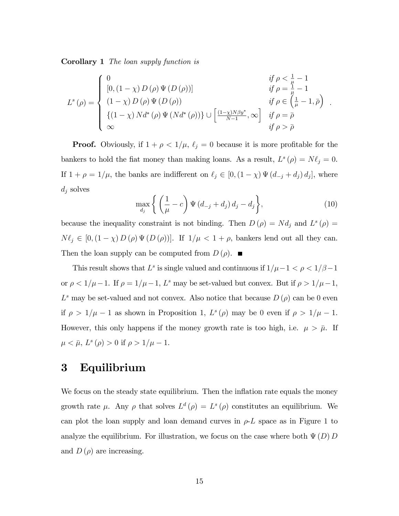Corollary 1 The loan supply function is

$$
L^{s}(\rho) = \begin{cases} 0 & \text{if } \rho < \frac{1}{\mu} - 1 \\ [0, (1 - \chi) D(\rho) \Psi(D(\rho))] & \text{if } \rho = \frac{1}{\mu} - 1 \\ (1 - \chi) D(\rho) \Psi(D(\rho)) & \text{if } \rho \in (\frac{1}{\mu} - 1, \bar{\rho}) \\ \{ (1 - \chi) N d^{*}(\rho) \Psi(N d^{*}(\rho)) \} \cup [\frac{(1 - \chi) N \beta y^{*}}{N - 1}, \infty] & \text{if } \rho = \bar{\rho} \\ \infty & \text{if } \rho > \bar{\rho} \end{cases}.
$$

**Proof.** Obviously, if  $1 + \rho < 1/\mu$ ,  $\ell_j = 0$  because it is more profitable for the bankers to hold the fiat money than making loans. As a result,  $L^s(\rho) = N\ell_j = 0$ . If  $1 + \rho = 1/\mu$ , the banks are indifferent on  $\ell_j \in [0, (1 - \chi) \Psi(d_{-j} + d_j) d_j]$ , where  $d_j$  solves

$$
\max_{d_j} \left\{ \left( \frac{1}{\mu} - c \right) \Psi \left( d_{-j} + d_j \right) d_j - d_j \right\},\tag{10}
$$

because the inequality constraint is not binding. Then  $D(\rho) = Nd_j$  and  $L^s(\rho) =$  $N \ell_j \in [0,(1 - \chi) D(\rho) \Psi(D(\rho))].$  If  $1/\mu < 1 + \rho$ , bankers lend out all they can. Then the loan supply can be computed from  $D(\rho)$ .

This result shows that  $L^s$  is single valued and continuous if  $1/\mu - 1 < \rho < 1/\beta - 1$ or  $\rho < 1/\mu - 1$ . If  $\rho = 1/\mu - 1$ , L<sup>s</sup> may be set-valued but convex. But if  $\rho > 1/\mu - 1$ ,  $L^s$  may be set-valued and not convex. Also notice that because  $D(\rho)$  can be 0 even if  $\rho > 1/\mu - 1$  as shown in Proposition 1,  $L^s(\rho)$  may be 0 even if  $\rho > 1/\mu - 1$ . However, this only happens if the money growth rate is too high, i.e.  $\mu > \bar{\mu}$ . If  $\mu < \bar{\mu}, L^s(\rho) > 0$  if  $\rho > 1/\mu - 1$ .

# 3 Equilibrium

We focus on the steady state equilibrium. Then the inflation rate equals the money growth rate  $\mu$ . Any  $\rho$  that solves  $L^d(\rho) = L^s(\rho)$  constitutes an equilibrium. We can plot the loan supply and loan demand curves in  $\rho-L$  space as in Figure 1 to analyze the equilibrium. For illustration, we focus on the case where both  $\Psi(D)$  D and  $D(\rho)$  are increasing.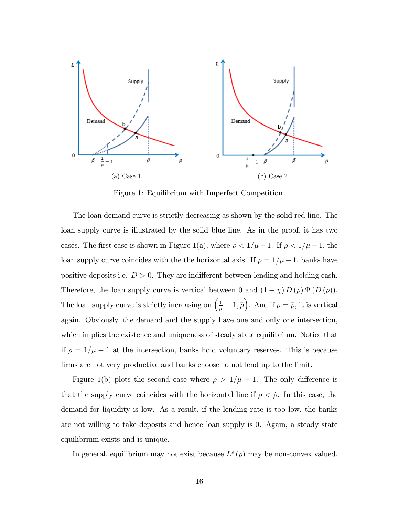

Figure 1: Equilibrium with Imperfect Competition

The loan demand curve is strictly decreasing as shown by the solid red line. The loan supply curve is illustrated by the solid blue line. As in the proof, it has two cases. The first case is shown in Figure 1(a), where  $\tilde{\rho} < 1/\mu - 1$ . If  $\rho < 1/\mu - 1$ , the loan supply curve coincides with the the horizontal axis. If  $\rho = 1/\mu - 1$ , banks have positive deposits i.e.  $D > 0$ . They are indifferent between lending and holding cash. Therefore, the loan supply curve is vertical between 0 and  $(1 - \chi) D(\rho) \Psi(D(\rho)).$ The loan supply curve is strictly increasing on  $(\frac{1}{\mu} - 1, \bar{\rho})$ . And if  $\rho = \bar{\rho}$ , it is vertical again. Obviously, the demand and the supply have one and only one intersection, which implies the existence and uniqueness of steady state equilibrium. Notice that if  $\rho = 1/\mu - 1$  at the intersection, banks hold voluntary reserves. This is because firms are not very productive and banks choose to not lend up to the limit.

Figure 1(b) plots the second case where  $\tilde{\rho} > 1/\mu - 1$ . The only difference is that the supply curve coincides with the horizontal line if  $\rho < \tilde{\rho}$ . In this case, the demand for liquidity is low. As a result, if the lending rate is too low, the banks are not willing to take deposits and hence loan supply is 0. Again, a steady state equilibrium exists and is unique.

In general, equilibrium may not exist because  $L^s(\rho)$  may be non-convex valued.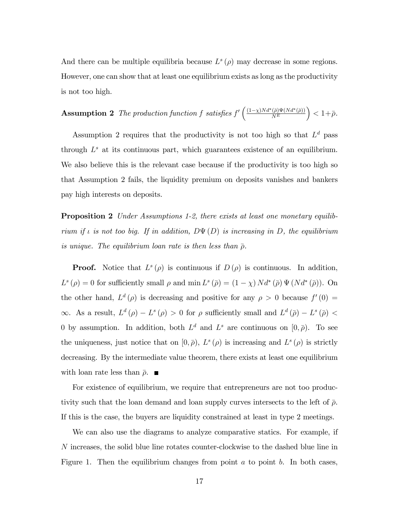And there can be multiple equilibria because  $L^s(\rho)$  may decrease in some regions. However, one can show that at least one equilibrium exists as long as the productivity is not too high.

**Assumption 2** The production function f satisfies  $f' \left( \frac{(1-\chi)Nd^*(\bar{\rho})\Psi(Nd^*(\bar{\rho}))}{N^E} \right)$  $\Big) < 1 + \bar{\rho}.$ 

Assumption 2 requires that the productivity is not too high so that  $L<sup>d</sup>$  pass through  $L^s$  at its continuous part, which guarantees existence of an equilibrium. We also believe this is the relevant case because if the productivity is too high so that Assumption 2 fails, the liquidity premium on deposits vanishes and bankers pay high interests on deposits.

**Proposition 2** Under Assumptions 1-2, there exists at least one monetary equilibrium if  $\iota$  is not too big. If in addition,  $D\Psi(D)$  is increasing in D, the equilibrium is unique. The equilibrium loan rate is then less than  $\bar{\rho}$ .

**Proof.** Notice that  $L^s(\rho)$  is continuous if  $D(\rho)$  is continuous. In addition,  $L^s(\rho) = 0$  for sufficiently small  $\rho$  and  $\min L^s(\bar{\rho}) = (1 - \chi) N d^*(\bar{\rho}) \Psi(N d^*(\bar{\rho})).$  On the other hand,  $L^d(\rho)$  is decreasing and positive for any  $\rho > 0$  because  $f'(0) =$  $\infty$ . As a result,  $L^d(\rho) - L^s(\rho) > 0$  for  $\rho$  sufficiently small and  $L^d(\bar{\rho}) - L^s(\bar{\rho}) <$ 0 by assumption. In addition, both  $L^d$  and  $L^s$  are continuous on  $[0, \bar{\rho})$ . To see the uniqueness, just notice that on  $[0, \bar{\rho})$ ,  $L^s(\rho)$  is increasing and  $L^s(\rho)$  is strictly decreasing. By the intermediate value theorem, there exists at least one equilibrium with loan rate less than  $\bar{\rho}$ .

For existence of equilibrium, we require that entrepreneurs are not too productivity such that the loan demand and loan supply curves intersects to the left of  $\bar{\rho}$ . If this is the case, the buyers are liquidity constrained at least in type 2 meetings.

We can also use the diagrams to analyze comparative statics. For example, if N increases, the solid blue line rotates counter-clockwise to the dashed blue line in Figure 1. Then the equilibrium changes from point  $a$  to point  $b$ . In both cases,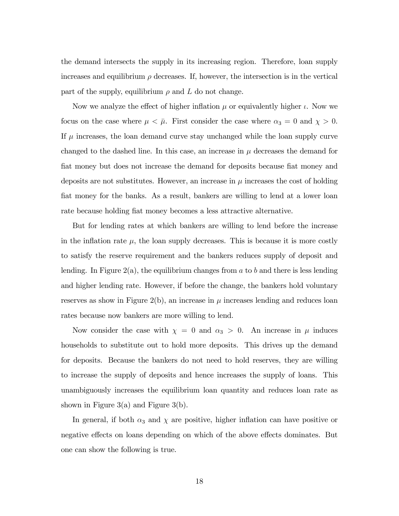the demand intersects the supply in its increasing region. Therefore, loan supply increases and equilibrium  $\rho$  decreases. If, however, the intersection is in the vertical part of the supply, equilibrium  $\rho$  and L do not change.

Now we analyze the effect of higher inflation  $\mu$  or equivalently higher  $\iota$ . Now we focus on the case where  $\mu < \bar{\mu}$ . First consider the case where  $\alpha_3 = 0$  and  $\chi > 0$ . If  $\mu$  increases, the loan demand curve stay unchanged while the loan supply curve changed to the dashed line. In this case, an increase in  $\mu$  decreases the demand for fiat money but does not increase the demand for deposits because fiat money and deposits are not substitutes. However, an increase in  $\mu$  increases the cost of holding fiat money for the banks. As a result, bankers are willing to lend at a lower loan rate because holding flat money becomes a less attractive alternative.

But for lending rates at which bankers are willing to lend before the increase in the inflation rate  $\mu$ , the loan supply decreases. This is because it is more costly to satisfy the reserve requirement and the bankers reduces supply of deposit and lending. In Figure 2(a), the equilibrium changes from a to b and there is less lending and higher lending rate. However, if before the change, the bankers hold voluntary reserves as show in Figure 2(b), an increase in  $\mu$  increases lending and reduces loan rates because now bankers are more willing to lend.

Now consider the case with  $\chi = 0$  and  $\alpha_3 > 0$ . An increase in  $\mu$  induces households to substitute out to hold more deposits. This drives up the demand for deposits. Because the bankers do not need to hold reserves, they are willing to increase the supply of deposits and hence increases the supply of loans. This unambiguously increases the equilibrium loan quantity and reduces loan rate as shown in Figure 3(a) and Figure 3(b).

In general, if both  $\alpha_3$  and  $\chi$  are positive, higher inflation can have positive or negative effects on loans depending on which of the above effects dominates. But one can show the following is true.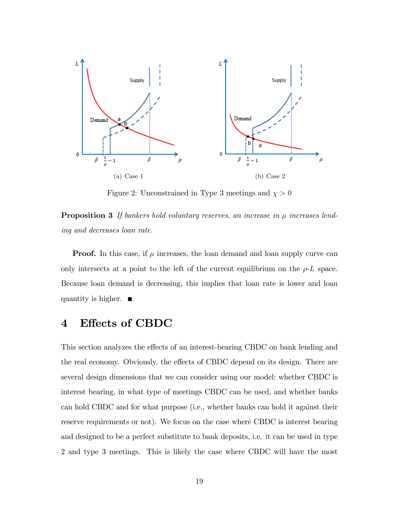

Figure 2: Unconstrained in Type 3 meetings and  $\chi>0$ 

**Proposition 3** If bankers hold voluntary reserves, an increase in  $\mu$  increases lending and decreases loan rate.

**Proof.** In this case, if  $\mu$  increases, the loan demand and loan supply curve can only intersects at a point to the left of the current equilibrium on the  $\rho$ -L space. Because loan demand is decreasing, this implies that loan rate is lower and loan quantity is higher.  $\blacksquare$ 

# 4 Effects of CBDC

This section analyzes the effects of an interest-bearing CBDC on bank lending and the real economy. Obviously, the effects of CBDC depend on its design. There are several design dimensions that we can consider using our model: whether CBDC is interest bearing, in what type of meetings CBDC can be used, and whether banks can hold CBDC and for what purpose (i.e., whether banks can hold it against their reserve requirements or not). We focus on the case where CBDC is interest bearing and designed to be a perfect substitute to bank deposits, i.e. it can be used in type 2 and type 3 meetings. This is likely the case where CBDC will have the most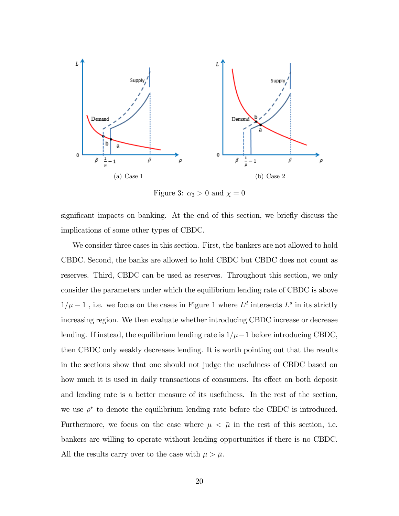

Figure 3:  $\alpha_3 > 0$  and  $\chi = 0$ 

significant impacts on banking. At the end of this section, we briefly discuss the implications of some other types of CBDC.

We consider three cases in this section. First, the bankers are not allowed to hold CBDC. Second, the banks are allowed to hold CBDC but CBDC does not count as reserves. Third, CBDC can be used as reserves. Throughout this section, we only consider the parameters under which the equilibrium lending rate of CBDC is above  $1/\mu - 1$ , i.e. we focus on the cases in Figure 1 where  $L^d$  intersects  $L^s$  in its strictly increasing region. We then evaluate whether introducing CBDC increase or decrease lending. If instead, the equilibrium lending rate is  $1/\mu-1$  before introducing CBDC, then CBDC only weakly decreases lending. It is worth pointing out that the results in the sections show that one should not judge the usefulness of CBDC based on how much it is used in daily transactions of consumers. Its effect on both deposit and lending rate is a better measure of its usefulness. In the rest of the section, we use  $\rho^*$  to denote the equilibrium lending rate before the CBDC is introduced. Furthermore, we focus on the case where  $\mu < \bar{\mu}$  in the rest of this section, i.e. bankers are willing to operate without lending opportunities if there is no CBDC. All the results carry over to the case with  $\mu > \bar{\mu}$ .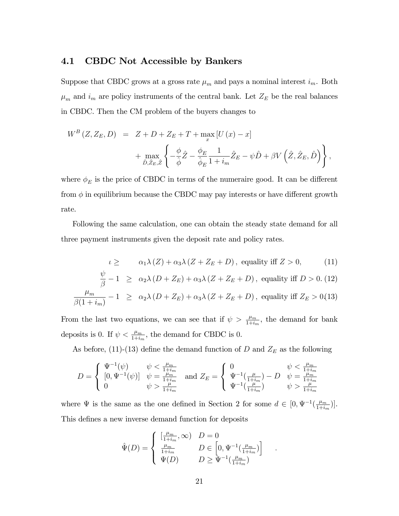### 4.1 CBDC Not Accessible by Bankers

Suppose that CBDC grows at a gross rate  $\mu_m$  and pays a nominal interest  $i_m$ . Both  $\mu_m$  and  $i_m$  are policy instruments of the central bank. Let  $Z_E$  be the real balances in CBDC. Then the CM problem of the buyers changes to

$$
W^{B}(Z, Z_{E}, D) = Z + D + Z_{E} + T + \max_{x} [U(x) - x]
$$
  
+ 
$$
\max_{\hat{D}, \hat{Z}_{E}, \hat{Z}} \left\{ -\frac{\phi}{\hat{\phi}} \hat{Z} - \frac{\phi_{E}}{\hat{\phi}_{E}} \frac{1}{1 + i_{m}} \hat{Z}_{E} - \psi \hat{D} + \beta V \left( \hat{Z}, \hat{Z}_{E}, \hat{D} \right) \right\},
$$

where  $\phi_E$  is the price of CBDC in terms of the numeraire good. It can be different from  $\phi$  in equilibrium because the CBDC may pay interests or have different growth rate.

Following the same calculation, one can obtain the steady state demand for all three payment instruments given the deposit rate and policy rates.

$$
\iota \geq \alpha_1 \lambda(Z) + \alpha_3 \lambda(Z + Z_E + D), \text{ equality iff } Z > 0,
$$
 (11)

$$
\frac{\psi}{\beta} - 1 \ge \alpha_2 \lambda \left( D + Z_E \right) + \alpha_3 \lambda \left( Z + Z_E + D \right), \text{ equality iff } D > 0. \text{ (12)}
$$

$$
\frac{\mu_m}{\beta(1+i_m)} - 1 \ge \alpha_2 \lambda (D + Z_E) + \alpha_3 \lambda (Z + Z_E + D),
$$
 equality iff  $Z_E > 0$ (13)

From the last two equations, we can see that if  $\psi > \frac{\mu_m}{1+i_m}$ , the demand for bank deposits is 0. If  $\psi < \frac{\mu_m}{1+i_m}$ , the demand for CBDC is 0.

As before, (11)-(13) define the demand function of D and  $Z_E$  as the following

$$
D = \begin{cases} \Psi^{-1}(\psi) & \psi < \frac{\mu_m}{1 + i_m} \\ [0, \Psi^{-1}(\psi)] & \psi = \frac{\mu_m}{1 + i_m} \\ 0 & \psi > \frac{\mu}{1 + i_m} \end{cases} \text{ and } Z_E = \begin{cases} 0 & \psi < \frac{\mu_m}{1 + i_m} \\ \Psi^{-1}(\frac{\mu}{1 + i_m}) - D & \psi = \frac{\mu_m}{1 + i_m} \\ \Psi^{-1}(\frac{\mu}{1 + i_m}) & \psi > \frac{\mu}{1 + i_m} \end{cases}
$$

where  $\Psi$  is the same as the one defined in Section 2 for some  $d \in [0, \Psi^{-1}(\frac{\mu_m}{1+i})]$  $\frac{\mu_m}{1+i_m}\big)\big].$ This defines a new inverse demand function for deposits

$$
\hat{\Psi}(D) = \begin{cases}\n\left[\frac{\mu_m}{1+i_m}, \infty\right) & D = 0 \\
\frac{\mu_m}{1+i_m} & D \in \left[0, \Psi^{-1}\left(\frac{\mu_m}{1+i_m}\right)\right] \\
\Psi(D) & D \ge \Psi^{-1}\left(\frac{\mu_m}{1+i_m}\right)\n\end{cases}
$$

: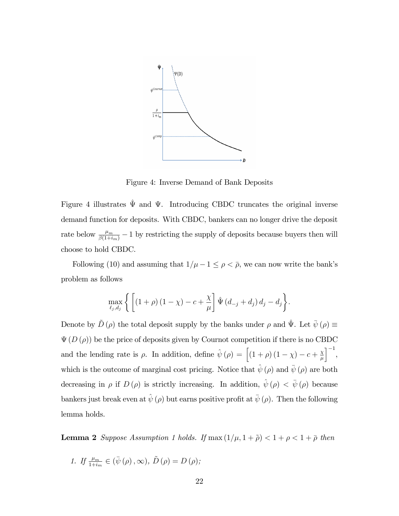

Figure 4: Inverse Demand of Bank Deposits

Figure 4 illustrates  $\hat{\Psi}$  and  $\Psi$ . Introducing CBDC truncates the original inverse demand function for deposits. With CBDC, bankers can no longer drive the deposit rate below  $\frac{\mu_m}{\beta(1+i_m)} - 1$  by restricting the supply of deposits because buyers then will choose to hold CBDC.

Following (10) and assuming that  $1/\mu - 1 \le \rho < \bar{\rho}$ , we can now write the bank's problem as follows

$$
\max_{\ell_j, d_j} \left\{ \left[ \left(1 + \rho\right) \left(1 - \chi\right) - c + \frac{\chi}{\mu} \right] \hat{\Psi} \left(d_{-j} + d_j\right) d_j - d_j \right\}.
$$

Denote by  $\tilde{D}(\rho)$  the total deposit supply by the banks under  $\rho$  and  $\hat{\Psi}$ . Let  $\bar{\psi}(\rho) \equiv$  $\Psi(D(\rho))$  be the price of deposits given by Cournot competition if there is no CBDC and the lending rate is  $\rho$ . In addition, define  $\hat{\psi}(\rho) = \left[ (1 + \rho) (1 - \chi) - c + \frac{\chi}{\mu} \right]$  $\mu$  $\big]^{-1},$ which is the outcome of marginal cost pricing. Notice that  $\hat{\psi}(\rho)$  and  $\bar{\psi}(\rho)$  are both decreasing in  $\rho$  if  $D (\rho)$  is strictly increasing. In addition,  $\hat{\psi} (\rho) < \bar{\psi} (\rho)$  because bankers just break even at  $\hat{\psi}(\rho)$  but earns positive profit at  $\bar{\psi}(\rho)$ . Then the following lemma holds.

**Lemma 2** Suppose Assumption 1 holds. If  $\max(1/\mu, 1 + \tilde{\rho}) < 1 + \rho < 1 + \bar{\rho}$  then

1. If  $\frac{\mu_m}{1+i_m} \in (\bar{\psi}(\rho), \infty), \tilde{D}(\rho) = D(\rho);$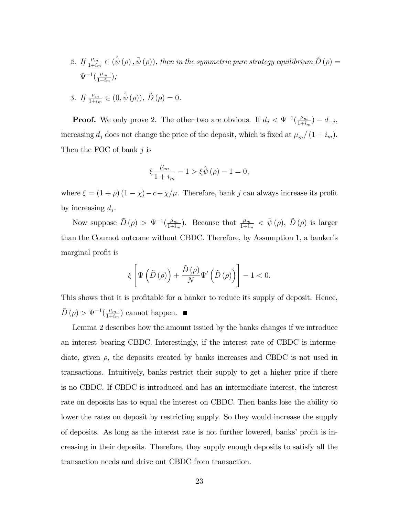2. If  $\frac{\mu_m}{1+i_m} \in (\hat{\psi}(\rho), \bar{\psi}(\rho))$ , then in the symmetric pure strategy equilibrium  $\tilde{D}(\rho) =$  $\Psi^{-1}(\frac{\mu_m}{1+i})$  $\frac{\mu_m}{1+i_m}\big);$ 

3. If 
$$
\frac{\mu_m}{1+i_m} \in (0, \hat{\psi}(\rho)), \tilde{D}(\rho) = 0.
$$

**Proof.** We only prove 2. The other two are obvious. If  $d_j < \Psi^{-1}(\frac{\mu_m}{1+i\epsilon})$  $\frac{\mu_{m}}{1+i_{m}}$ ) –  $d_{-j}$ , increasing  $d_j$  does not change the price of the deposit, which is fixed at  $\mu_m/(1 + i_m)$ . Then the FOC of bank j is

$$
\xi\frac{\mu_m}{1+i_m}-1>\xi\hat{\psi}\left(\rho\right)-1=0,
$$

where  $\xi = (1 + \rho)(1 - \chi) - c + \chi/\mu$ . Therefore, bank j can always increase its profit by increasing  $d_j$ .

Now suppose  $\tilde{D}(\rho) > \Psi^{-1}(\frac{\mu_m}{1+i})$  $\frac{\mu_m}{1+i_m}$ ). Because that  $\frac{\mu_m}{1+i_m} < \bar{\psi}(\rho)$ ,  $\tilde{D}(\rho)$  is larger than the Cournot outcome without CBDC. Therefore, by Assumption 1, a banker's marginal profit is

$$
\xi\left[\Psi\left(\tilde{D}\left(\rho\right)\right)+\frac{\tilde{D}\left(\rho\right)}{N}\Psi'\left(\tilde{D}\left(\rho\right)\right)\right]-1<0.
$$

This shows that it is profitable for a banker to reduce its supply of deposit. Hence,  $\tilde{D}(\rho) > \Psi^{-1}(\frac{\mu_m}{1+i})$  $\frac{\mu_m}{1+i_m}$  cannot happen.

Lemma 2 describes how the amount issued by the banks changes if we introduce an interest bearing CBDC. Interestingly, if the interest rate of CBDC is intermediate, given  $\rho$ , the deposits created by banks increases and CBDC is not used in transactions. Intuitively, banks restrict their supply to get a higher price if there is no CBDC. If CBDC is introduced and has an intermediate interest, the interest rate on deposits has to equal the interest on CBDC. Then banks lose the ability to lower the rates on deposit by restricting supply. So they would increase the supply of deposits. As long as the interest rate is not further lowered, banks' profit is increasing in their deposits. Therefore, they supply enough deposits to satisfy all the transaction needs and drive out CBDC from transaction.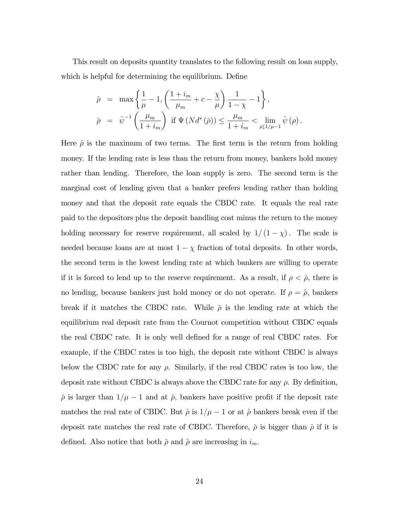This result on deposits quantity translates to the following result on loan supply, which is helpful for determining the equilibrium. Define

$$
\begin{array}{rcl} \hat{\rho} & = & \displaystyle \max \left\{ \frac{1}{\mu} - 1, \left( \frac{1 + i_m}{\mu_m} + c - \frac{\chi}{\mu} \right) \frac{1}{1 - \chi} - 1 \right\}, \\ \check{\rho} & = & \displaystyle \bar{\psi}^{-1} \left( \frac{\mu_m}{1 + i_m} \right) \text{ if } \Psi \left( N d^* \left( \bar{\rho} \right) \right) \leq \frac{\mu_m}{1 + i_m} < \lim_{\rho \downarrow 1 / \mu - 1} \bar{\psi} \left( \rho \right). \end{array}
$$

Here  $\hat{\rho}$  is the maximum of two terms. The first term is the return from holding money. If the lending rate is less than the return from money, bankers hold money rather than lending. Therefore, the loan supply is zero. The second term is the marginal cost of lending given that a banker prefers lending rather than holding money and that the deposit rate equals the CBDC rate. It equals the real rate paid to the depositors plus the deposit handling cost minus the return to the money holding necessary for reserve requirement, all scaled by  $1/(1 - \chi)$ . The scale is needed because loans are at most  $1 - \chi$  fraction of total deposits. In other words, the second term is the lowest lending rate at which bankers are willing to operate if it is forced to lend up to the reserve requirement. As a result, if  $\rho < \hat{\rho}$ , there is no lending, because bankers just hold money or do not operate. If  $\rho = \hat{\rho}$ , bankers break if it matches the CBDC rate. While  $\tilde{\rho}$  is the lending rate at which the equilibrium real deposit rate from the Cournot competition without CBDC equals the real CBDC rate. It is only well defined for a range of real CBDC rates. For example, if the CBDC rates is too high, the deposit rate without CBDC is always below the CBDC rate for any  $\rho$ . Similarly, if the real CBDC rates is too low, the deposit rate without CBDC is always above the CBDC rate for any  $\rho$ . By definition,  $\tilde{\rho}$  is larger than  $1/\mu - 1$  and at  $\tilde{\rho}$ , bankers have positive profit if the deposit rate matches the real rate of CBDC. But  $\hat{\rho}$  is  $1/\mu - 1$  or at  $\hat{\rho}$  bankers break even if the deposit rate matches the real rate of CBDC. Therefore,  $\tilde{\rho}$  is bigger than  $\hat{\rho}$  if it is defined. Also notice that both  $\rho$  and  $\rho$  are increasing in  $i_m$ .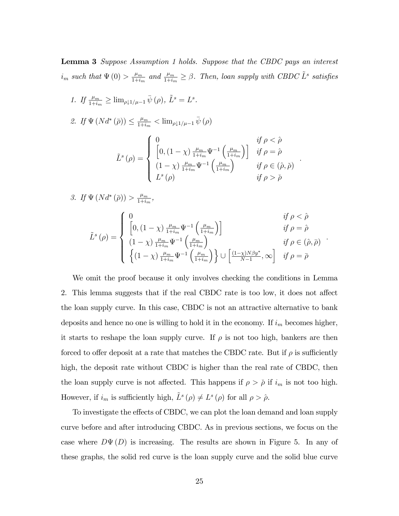Lemma 3 Suppose Assumption 1 holds. Suppose that the CBDC pays an interest  $i_m$  such that  $\Psi(0) > \frac{\mu_m}{1+i_s}$  $\frac{\mu_m}{1+i_m}$  and  $\frac{\mu_m}{1+i_m} \geq \beta$ . Then, loan supply with CBDC  $\tilde{L}^s$  satisfies

1. If  $\frac{\mu_m}{1+i_m} \geq \lim_{\rho \downarrow 1/\mu - 1} \bar{\psi}(\rho)$ ,  $\tilde{L}^s = L^s$ . 2. If  $\Psi(Nd^*(\bar{\rho})) \leq \frac{\mu_m}{1+i}$  $\frac{\mu_m}{1+i_m} < \lim_{\rho \downarrow 1/\mu - 1} \bar{\psi}(\rho)$  $\tilde{L}^{s}\left(\rho\right)=$  $\sqrt{2}$  $\Big\}$  $\left\lfloor \right\rfloor$ 0 if  $\rho < \hat{\rho}$  $\left[0, \left(1-\chi\right)\tfrac{\mu_m}{1+i} \right]$  $\frac{\mu_m}{1+i_m}\Psi^{-1}\left(\frac{\mu_m}{1+i_n}\right)$  $\left[\frac{\mu_m}{1+i_m}\right)$  if  $\rho = \hat{\rho}$  $(1 - \chi) \frac{\mu_m}{1 + i}$  $\frac{\mu_m}{1+i_m}\Psi^{-1}\left(\frac{\mu_m}{1+i_n}\right)$  $_{1+i_m}$  $\int$  if  $\rho \in (\hat{\rho}, \check{\rho})$  $L^{s}(\rho)$  if  $\rho > \check{\rho}$ :

$$
3. If \Psi(Nd^*(\bar{\rho})) > \frac{\mu_m}{1+i_m},
$$
  

$$
\tilde{L}^s(\rho) = \begin{cases} 0 & \text{if } \rho < \hat{\rho} \\ \left[0, (1-\chi)\frac{\mu_m}{1+i_m}\Psi^{-1}\left(\frac{\mu_m}{1+i_m}\right)\right] & \text{if } \rho = \hat{\rho} \\ (1-\chi)\frac{\mu_m}{1+i_m}\Psi^{-1}\left(\frac{\mu_m}{1+i_m}\right) & \text{if } \rho \in (\hat{\rho}, \bar{\rho}) \\ \left\{(1-\chi)\frac{\mu_m}{1+i_m}\Psi^{-1}\left(\frac{\mu_m}{1+i_m}\right)\right\} \cup \left[\frac{(1-\chi)N\beta y^*}{N-1}, \infty\right] & \text{if } \rho = \bar{\rho} \end{cases}.
$$

We omit the proof because it only involves checking the conditions in Lemma 2. This lemma suggests that if the real CBDC rate is too low, it does not affect the loan supply curve. In this case, CBDC is not an attractive alternative to bank deposits and hence no one is willing to hold it in the economy. If  $i<sub>m</sub>$  becomes higher, it starts to reshape the loan supply curve. If  $\rho$  is not too high, bankers are then forced to offer deposit at a rate that matches the CBDC rate. But if  $\rho$  is sufficiently high, the deposit rate without CBDC is higher than the real rate of CBDC, then the loan supply curve is not affected. This happens if  $\rho > \tilde{\rho}$  if  $i_m$  is not too high. However, if  $i_m$  is sufficiently high,  $\tilde{L}^s(\rho) \neq L^s(\rho)$  for all  $\rho > \rho$ .

To investigate the effects of CBDC, we can plot the loan demand and loan supply curve before and after introducing CBDC. As in previous sections, we focus on the case where  $D\Psi(D)$  is increasing. The results are shown in Figure 5. In any of these graphs, the solid red curve is the loan supply curve and the solid blue curve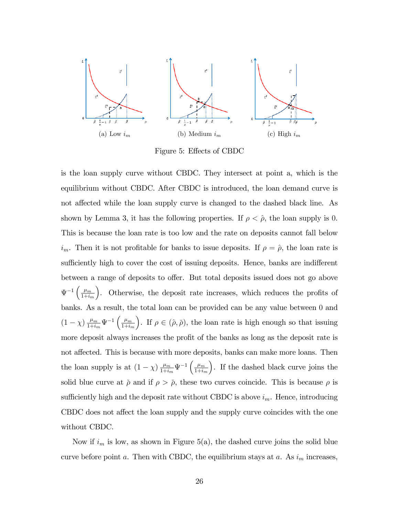

Figure 5: Effects of CBDC

is the loan supply curve without CBDC. They intersect at point a, which is the equilibrium without CBDC. After CBDC is introduced, the loan demand curve is not affected while the loan supply curve is changed to the dashed black line. As shown by Lemma 3, it has the following properties. If  $\rho < \hat{\rho}$ , the loan supply is 0. This is because the loan rate is too low and the rate on deposits cannot fall below  $i_m$ . Then it is not profitable for banks to issue deposits. If  $\rho = \hat{\rho}$ , the loan rate is sufficiently high to cover the cost of issuing deposits. Hence, banks are indifferent between a range of deposits to offer. But total deposits issued does not go above  $\Psi^{-1}\left(\frac{\mu_m}{1+i}\right)$  $_{1+i_m}$ ). Otherwise, the deposit rate increases, which reduces the profits of banks. As a result, the total loan can be provided can be any value between 0 and  $(1 - \chi) \frac{\mu_m}{1 + i}$  $\frac{\mu_m}{1+i_m}\Psi^{-1}\left(\frac{\mu_m}{1+i_i}\right)$  $_{1+i_m}$ ). If  $\rho \in (\hat{\rho}, \check{\rho})$ , the loan rate is high enough so that issuing more deposit always increases the profit of the banks as long as the deposit rate is not affected. This is because with more deposits, banks can make more loans. Then the loan supply is at  $(1 - \chi) \frac{\mu_m}{1 + i_r}$  $\frac{\mu_m}{1+i_m}\Psi^{-1}\left(\frac{\mu_m}{1+i_n}\right)$  $_{1+i_m}$  . If the dashed black curve joins the solid blue curve at  $\check{\rho}$  and if  $\rho > \check{\rho}$ , these two curves coincide. This is because  $\rho$  is sufficiently high and the deposit rate without CBDC is above  $i_m$ . Hence, introducing CBDC does not affect the loan supply and the supply curve coincides with the one without CBDC.

Now if  $i_m$  is low, as shown in Figure 5(a), the dashed curve joins the solid blue curve before point a. Then with CBDC, the equilibrium stays at a. As  $i<sub>m</sub>$  increases,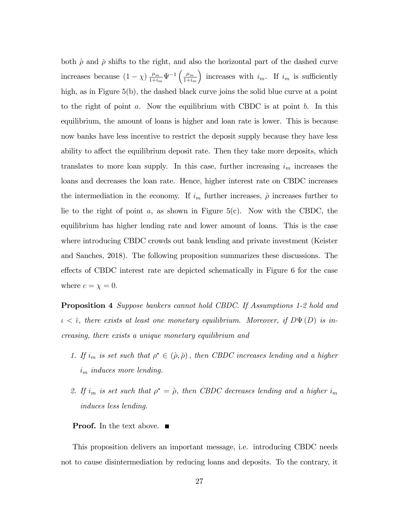both  $\hat{\rho}$  and  $\check{\rho}$  shifts to the right, and also the horizontal part of the dashed curve increases because  $(1 - \chi) \frac{\mu_m}{1 + i_l}$  $\frac{\mu_m}{1+i_m}\Psi^{-1}\left(\frac{\mu_m}{1+i_n}\right)$  $_{1+i_m}$ ) increases with  $i_m$ . If  $i_m$  is sufficiently high, as in Figure 5(b), the dashed black curve joins the solid blue curve at a point to the right of point a. Now the equilibrium with CBDC is at point  $b$ . In this equilibrium, the amount of loans is higher and loan rate is lower. This is because now banks have less incentive to restrict the deposit supply because they have less ability to affect the equilibrium deposit rate. Then they take more deposits, which translates to more loan supply. In this case, further increasing  $i_m$  increases the loans and decreases the loan rate. Hence, higher interest rate on CBDC increases the intermediation in the economy. If  $i_m$  further increases,  $\hat{\rho}$  increases further to lie to the right of point  $a$ , as shown in Figure 5(c). Now with the CBDC, the equilibrium has higher lending rate and lower amount of loans. This is the case where introducing CBDC crowds out bank lending and private investment (Keister and Sanches, 2018). The following proposition summarizes these discussions. The effects of CBDC interest rate are depicted schematically in Figure 6 for the case where  $c = \chi = 0$ .

Proposition 4 Suppose bankers cannot hold CBDC. If Assumptions 1-2 hold and  $\iota < \bar{\iota}$ , there exists at least one monetary equilibrium. Moreover, if  $D\Psi(D)$  is increasing, there exists a unique monetary equilibrium and

- 1. If  $i_m$  is set such that  $\rho^* \in (\hat{\rho}, \check{\rho})$ , then CBDC increases lending and a higher  $i<sub>m</sub>$  induces more lending.
- 2. If  $i_m$  is set such that  $\rho^* = \hat{\rho}$ , then CBDC decreases lending and a higher  $i_m$ induces less lending.

#### **Proof.** In the text above. ■

This proposition delivers an important message, i.e. introducing CBDC needs not to cause disintermediation by reducing loans and deposits. To the contrary, it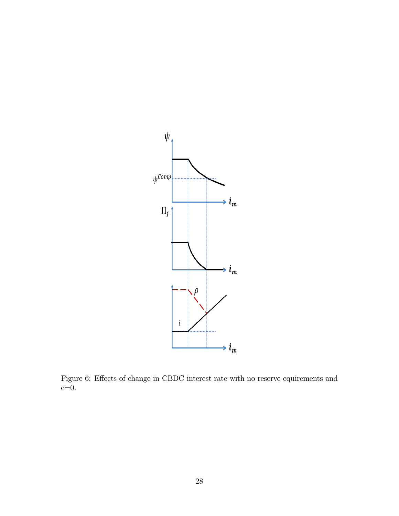

Figure 6: Effects of change in CBDC interest rate with no reserve equirements and  $c=0$ .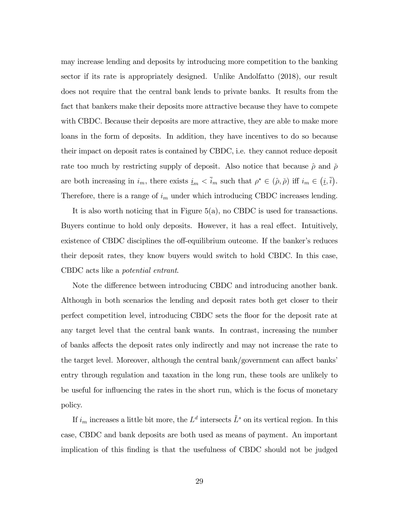may increase lending and deposits by introducing more competition to the banking sector if its rate is appropriately designed. Unlike Andolfatto (2018), our result does not require that the central bank lends to private banks. It results from the fact that bankers make their deposits more attractive because they have to compete with CBDC. Because their deposits are more attractive, they are able to make more loans in the form of deposits. In addition, they have incentives to do so because their impact on deposit rates is contained by CBDC, i.e. they cannot reduce deposit rate too much by restricting supply of deposit. Also notice that because  $\hat{\rho}$  and  $\check{\rho}$ are both increasing in  $i_m$ , there exists  $\underline{i}_m < \overline{i}_m$  such that  $\rho^* \in (\hat{\rho}, \check{\rho})$  iff  $i_m \in (i, \overline{i})$ . Therefore, there is a range of  $i_m$  under which introducing CBDC increases lending.

It is also worth noticing that in Figure 5(a), no CBDC is used for transactions. Buyers continue to hold only deposits. However, it has a real effect. Intuitively, existence of CBDC disciplines the off-equilibrium outcome. If the banker's reduces their deposit rates, they know buyers would switch to hold CBDC. In this case, CBDC acts like a potential entrant.

Note the difference between introducing CBDC and introducing another bank. Although in both scenarios the lending and deposit rates both get closer to their perfect competition level, introducing CBDC sets the áoor for the deposit rate at any target level that the central bank wants. In contrast, increasing the number of banks affects the deposit rates only indirectly and may not increase the rate to the target level. Moreover, although the central bank/government can affect banks' entry through regulation and taxation in the long run, these tools are unlikely to be useful for influencing the rates in the short run, which is the focus of monetary policy.

If  $i_m$  increases a little bit more, the  $L^d$  intersects  $\tilde{L}^s$  on its vertical region. In this case, CBDC and bank deposits are both used as means of payment. An important implication of this Önding is that the usefulness of CBDC should not be judged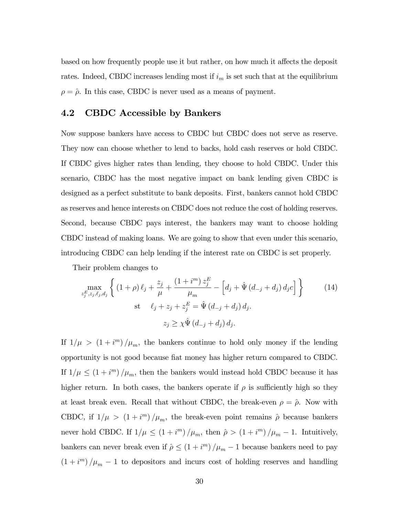based on how frequently people use it but rather, on how much it affects the deposit rates. Indeed, CBDC increases lending most if  $i_m$  is set such that at the equilibrium  $\rho = \hat{\rho}$ . In this case, CBDC is never used as a means of payment.

### 4.2 CBDC Accessible by Bankers

Now suppose bankers have access to CBDC but CBDC does not serve as reserve. They now can choose whether to lend to backs, hold cash reserves or hold CBDC. If CBDC gives higher rates than lending, they choose to hold CBDC. Under this scenario, CBDC has the most negative impact on bank lending given CBDC is designed as a perfect substitute to bank deposits. First, bankers cannot hold CBDC as reserves and hence interests on CBDC does not reduce the cost of holding reserves. Second, because CBDC pays interest, the bankers may want to choose holding CBDC instead of making loans. We are going to show that even under this scenario, introducing CBDC can help lending if the interest rate on CBDC is set properly.

Their problem changes to

$$
\max_{z_j^E, z_j, \ell_j, d_j} \left\{ (1+\rho) \ell_j + \frac{z_j}{\mu} + \frac{(1+i^m) z_j^E}{\mu_m} - \left[ d_j + \hat{\Psi} (d_{-j} + d_j) d_j c \right] \right\} \qquad (14)
$$
\n
$$
\text{st} \qquad \ell_j + z_j + z_j^E = \hat{\Psi} (d_{-j} + d_j) d_j.
$$
\n
$$
z_j \ge \chi \hat{\Psi} (d_{-j} + d_j) d_j.
$$

If  $1/\mu$  >  $(1 + i<sup>m</sup>)/\mu<sub>m</sub>$ , the bankers continue to hold only money if the lending opportunity is not good because Öat money has higher return compared to CBDC. If  $1/\mu \leq (1 + i<sup>m</sup>)/\mu<sub>m</sub>$ , then the bankers would instead hold CBDC because it has higher return. In both cases, the bankers operate if  $\rho$  is sufficiently high so they at least break even. Recall that without CBDC, the break-even  $\rho = \hat{\rho}$ . Now with CBDC, if  $1/\mu > (1 + i<sup>m</sup>)/\mu<sub>m</sub>$ , the break-even point remains  $\hat{\rho}$  because bankers never hold CBDC. If  $1/\mu \leq (1 + i^m)/\mu_m$ , then  $\hat{\rho} > (1 + i^m)/\mu_m - 1$ . Intuitively, bankers can never break even if  $\hat{\rho} \leq (1 + i^m)/\mu_m - 1$  because bankers need to pay  $(1 + i<sup>m</sup>)/\mu<sub>m</sub> - 1$  to depositors and incurs cost of holding reserves and handling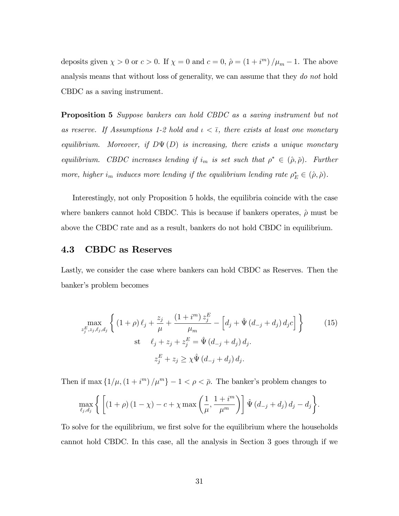deposits given  $\chi > 0$  or  $c > 0$ . If  $\chi = 0$  and  $c = 0$ ,  $\hat{\rho} = (1 + i^{m}) / \mu_{m} - 1$ . The above analysis means that without loss of generality, we can assume that they do not hold CBDC as a saving instrument.

Proposition 5 Suppose bankers can hold CBDC as a saving instrument but not as reserve. If Assumptions 1-2 hold and  $\iota < \overline{\iota}$ , there exists at least one monetary equilibrium. Moreover, if  $D\Psi(D)$  is increasing, there exists a unique monetary equilibrium. CBDC increases lending if  $i_m$  is set such that  $\rho^* \in (\hat{\rho}, \check{\rho})$ . Further more, higher i<sub>m</sub> induces more lending if the equilibrium lending rate  $\rho_E^* \in (\hat{\rho}, \check{\rho})$ .

Interestingly, not only Proposition 5 holds, the equilibria coincide with the case where bankers cannot hold CBDC. This is because if bankers operates,  $\hat{\rho}$  must be above the CBDC rate and as a result, bankers do not hold CBDC in equilibrium.

#### 4.3 CBDC as Reserves

Lastly, we consider the case where bankers can hold CBDC as Reserves. Then the banker's problem becomes

$$
\max_{z_j^E, z_j, \ell_j, d_j} \left\{ (1+\rho) \ell_j + \frac{z_j}{\mu} + \frac{(1+i^m) z_j^E}{\mu_m} - \left[ d_j + \hat{\Psi} (d_{-j} + d_j) d_j c \right] \right\} \qquad (15)
$$
\n
$$
\text{st} \quad \ell_j + z_j + z_j^E = \hat{\Psi} (d_{-j} + d_j) d_j.
$$
\n
$$
z_j^E + z_j \ge \chi \hat{\Psi} (d_{-j} + d_j) d_j.
$$

Then if max  $\left\{\frac{1}{\mu},\left(1 + i^{m}\right) / \mu^{m}\right\} - 1 < \rho < \bar{\rho}$ . The banker's problem changes to

$$
\max_{\ell_j, d_j} \left\{ \left[ \left(1 + \rho\right) \left(1 - \chi\right) - c + \chi \max\left(\frac{1}{\mu}, \frac{1 + i^m}{\mu^m}\right) \right] \hat{\Psi}\left(d_{-j} + d_j\right) d_j - d_j \right\}.
$$

To solve for the equilibrium, we first solve for the equilibrium where the households cannot hold CBDC. In this case, all the analysis in Section 3 goes through if we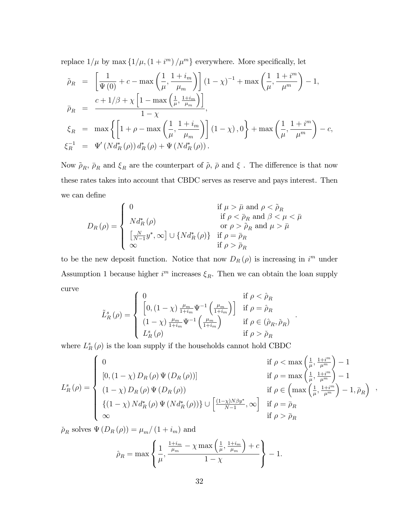replace  $1/\mu$  by max  $\left\{\frac{1}{\mu},\left(1 + i^{m}\right) / \mu^{m}\right\}$  everywhere. More specifically, let

$$
\tilde{\rho}_R = \left[ \frac{1}{\Psi(0)} + c - \max\left( \frac{1}{\mu}, \frac{1+i_m}{\mu_m} \right) \right] (1 - \chi)^{-1} + \max\left( \frac{1}{\mu}, \frac{1+i^m}{\mu^m} \right) - 1,
$$
\n
$$
\bar{\rho}_R = \frac{c + 1/\beta + \chi \left[ 1 - \max\left( \frac{1}{\mu}, \frac{1+i_m}{\mu_m} \right) \right]}{1 - \chi},
$$
\n
$$
\xi_R = \max\left\{ \left[ 1 + \rho - \max\left( \frac{1}{\mu}, \frac{1+i_m}{\mu_m} \right) \right] (1 - \chi), 0 \right\} + \max\left( \frac{1}{\mu}, \frac{1+i^m}{\mu^m} \right) - c,
$$
\n
$$
\xi_R^{-1} = \Psi'(Nd_R^*(\rho)) d_R^*(\rho) + \Psi(Nd_R^*(\rho)).
$$

Now  $\tilde{\rho}_R,$   $\bar{\rho}_R$  and  $\xi_R$  are the counterpart of<br>  $\tilde{\rho},$   $\bar{\rho}$  and  $\xi$  . The difference is that now these rates takes into account that CBDC serves as reserve and pays interest. Then we can define

$$
D_R(\rho) = \begin{cases} 0 & \text{if } \mu > \bar{\mu} \text{ and } \rho < \tilde{\rho}_R \\ N d^*_R(\rho) & \text{if } \rho < \bar{\rho}_R \text{ and } \beta < \mu < \bar{\mu} \\ 0 & \text{or } \rho > \tilde{\rho}_R \text{ and } \mu > \bar{\mu} \\ \left[\frac{N}{N-1}y^*, \infty\right] \cup \left\{ N d^*_R(\rho) \right\} & \text{if } \rho = \bar{\rho}_R \\ \infty & \text{if } \rho > \bar{\rho}_R \end{cases}
$$

to be the new deposit function. Notice that now  $D_R(\rho)$  is increasing in i<sup>m</sup> under Assumption 1 because higher  $i<sup>m</sup>$  increases  $\xi_R$ . Then we can obtain the loan supply curve  $\epsilon$ 

$$
\tilde{L}_{R}^{s}(\rho) = \begin{cases}\n0 & \text{if } \rho < \hat{\rho}_{R} \\
\left[0, (1 - \chi)\frac{\mu_{m}}{1 + i_{m}}\Psi^{-1}\left(\frac{\mu_{m}}{1 + i_{m}}\right)\right] & \text{if } \rho = \hat{\rho}_{R} \\
(1 - \chi)\frac{\mu_{m}}{1 + i_{m}}\Psi^{-1}\left(\frac{\mu_{m}}{1 + i_{m}}\right) & \text{if } \rho \in (\hat{\rho}_{R}, \check{\rho}_{R}) \\
L_{R}^{s}(\rho) & \text{if } \rho > \check{\rho}_{R}\n\end{cases}
$$

where  $L_R^s(\rho)$  is the loan supply if the households cannot hold CBDC

$$
L_R^s(\rho) = \begin{cases} 0 & \text{if } \rho < \max\left(\frac{1}{\mu}, \frac{1+i^m}{\mu^m}\right) - 1 \\ [0, (1-\chi) D_R(\rho) \Psi(D_R(\rho))] & \text{if } \rho = \max\left(\frac{1}{\mu}, \frac{1+i^m}{\mu^m}\right) - 1 \\ (1-\chi) D_R(\rho) \Psi(D_R(\rho)) & \text{if } \rho \in \left(\max\left(\frac{1}{\mu}, \frac{1+i^m}{\mu^m}\right) - 1, \bar{\rho}_R\right) \\ \{ (1-\chi) N d_R^*(\rho) \Psi(N d_R^*(\rho)) \} \cup \left[\frac{(1-\chi)N\beta y^*}{N-1}, \infty\right] & \text{if } \rho = \bar{\rho}_R \\ \infty & \text{if } \rho > \bar{\rho}_R \end{cases},
$$

:

 $\check{\rho}_R$  solves  $\Psi(D_R(\rho)) = \mu_m/(1 + i_m)$  and

$$
\hat{\rho}_R = \max \left\{ \frac{1}{\mu}, \frac{\frac{1+i_m}{\mu_m} - \chi \max\left(\frac{1}{\mu}, \frac{1+i_m}{\mu_m}\right) + c}{1 - \chi} \right\} - 1.
$$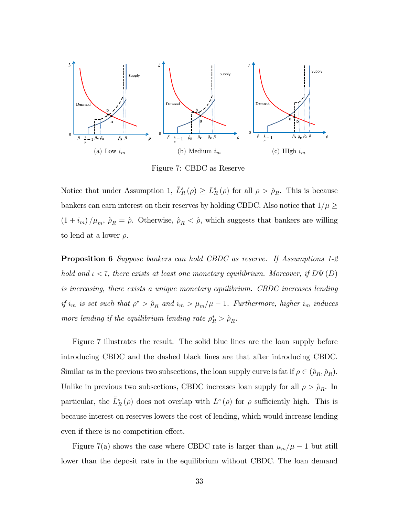

Figure 7: CBDC as Reserve

Notice that under Assumption 1,  $\tilde{L}_R^s(\rho) \geq L_R^s(\rho)$  for all  $\rho > \hat{\rho}_R$ . This is because bankers can earn interest on their reserves by holding CBDC. Also notice that  $1/\mu \ge$  $(1 + i_m)/\mu_m$ ,  $\hat{\rho}_R = \hat{\rho}$ . Otherwise,  $\hat{\rho}_R < \hat{\rho}$ , which suggests that bankers are willing to lend at a lower  $\rho$ .

**Proposition 6** Suppose bankers can hold CBDC as reserve. If Assumptions 1-2 hold and  $\iota < \bar{\iota}$ , there exists at least one monetary equilibrium. Moreover, if  $D\Psi(D)$ is increasing, there exists a unique monetary equilibrium. CBDC increases lending if  $i_m$  is set such that  $\rho^* > \hat{\rho}_R$  and  $i_m > \mu_m/\mu - 1$ . Furthermore, higher  $i_m$  induces more lending if the equilibrium lending rate  $\rho_R^* > \hat{\rho}_R$ .

Figure 7 illustrates the result. The solid blue lines are the loan supply before introducing CBDC and the dashed black lines are that after introducing CBDC. Similar as in the previous two subsections, the loan supply curve is fat if  $\rho \in (\hat{\rho}_R, \check{\rho}_R)$ . Unlike in previous two subsections, CBDC increases loan supply for all  $\rho > \hat{\rho}_R$ . In particular, the  $\tilde{L}^s_R(\rho)$  does not overlap with  $L^s(\rho)$  for  $\rho$  sufficiently high. This is because interest on reserves lowers the cost of lending, which would increase lending even if there is no competition effect.

Figure 7(a) shows the case where CBDC rate is larger than  $\mu_m/\mu - 1$  but still lower than the deposit rate in the equilibrium without CBDC. The loan demand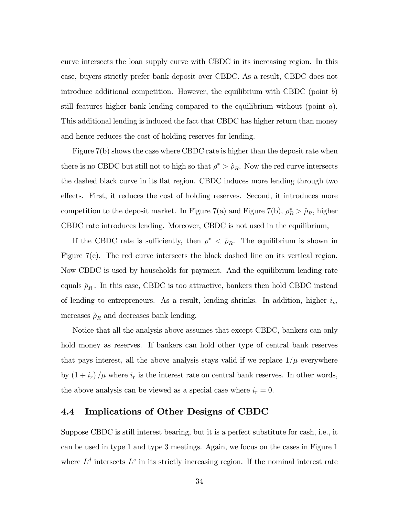curve intersects the loan supply curve with CBDC in its increasing region. In this case, buyers strictly prefer bank deposit over CBDC. As a result, CBDC does not introduce additional competition. However, the equilibrium with CBDC (point  $b$ ) still features higher bank lending compared to the equilibrium without (point  $a$ ). This additional lending is induced the fact that CBDC has higher return than money and hence reduces the cost of holding reserves for lending.

Figure 7(b) shows the case where CBDC rate is higher than the deposit rate when there is no CBDC but still not to high so that  $\rho^* > \hat{\rho}_R$ . Now the red curve intersects the dashed black curve in its áat region. CBDC induces more lending through two effects. First, it reduces the cost of holding reserves. Second, it introduces more competition to the deposit market. In Figure 7(a) and Figure 7(b),  $\rho_R^* > \hat{\rho}_R$ , higher CBDC rate introduces lending. Moreover, CBDC is not used in the equilibrium,

If the CBDC rate is sufficiently, then  $\rho^* < \hat{\rho}_R$ . The equilibrium is shown in Figure 7(c). The red curve intersects the black dashed line on its vertical region. Now CBDC is used by households for payment. And the equilibrium lending rate equals  $\rho_R$ . In this case, CBDC is too attractive, bankers then hold CBDC instead of lending to entrepreneurs. As a result, lending shrinks. In addition, higher  $i_m$ increases  $\rho_R$  and decreases bank lending.

Notice that all the analysis above assumes that except CBDC, bankers can only hold money as reserves. If bankers can hold other type of central bank reserves that pays interest, all the above analysis stays valid if we replace  $1/\mu$  everywhere by  $(1 + i_r)/\mu$  where  $i_r$  is the interest rate on central bank reserves. In other words, the above analysis can be viewed as a special case where  $i_r = 0$ .

### 4.4 Implications of Other Designs of CBDC

Suppose CBDC is still interest bearing, but it is a perfect substitute for cash, i.e., it can be used in type 1 and type 3 meetings. Again, we focus on the cases in Figure 1 where  $L^d$  intersects  $L^s$  in its strictly increasing region. If the nominal interest rate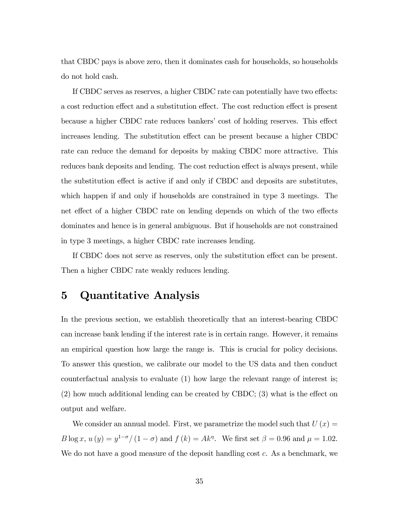that CBDC pays is above zero, then it dominates cash for households, so households do not hold cash.

If CBDC serves as reserves, a higher CBDC rate can potentially have two effects: a cost reduction effect and a substitution effect. The cost reduction effect is present because a higher CBDC rate reduces bankers' cost of holding reserves. This effect increases lending. The substitution effect can be present because a higher CBDC rate can reduce the demand for deposits by making CBDC more attractive. This reduces bank deposits and lending. The cost reduction effect is always present, while the substitution effect is active if and only if CBDC and deposits are substitutes, which happen if and only if households are constrained in type 3 meetings. The net effect of a higher CBDC rate on lending depends on which of the two effects dominates and hence is in general ambiguous. But if households are not constrained in type 3 meetings, a higher CBDC rate increases lending.

If CBDC does not serve as reserves, only the substitution effect can be present. Then a higher CBDC rate weakly reduces lending.

# 5 Quantitative Analysis

In the previous section, we establish theoretically that an interest-bearing CBDC can increase bank lending if the interest rate is in certain range. However, it remains an empirical question how large the range is. This is crucial for policy decisions. To answer this question, we calibrate our model to the US data and then conduct counterfactual analysis to evaluate (1) how large the relevant range of interest is;  $(2)$  how much additional lending can be created by CBDC;  $(3)$  what is the effect on output and welfare.

We consider an annual model. First, we parametrize the model such that  $U(x) =$  $B \log x$ ,  $u(y) = y^{1-\sigma}/(1-\sigma)$  and  $f(k) = Ak^{\eta}$ . We first set  $\beta = 0.96$  and  $\mu = 1.02$ . We do not have a good measure of the deposit handling cost c. As a benchmark, we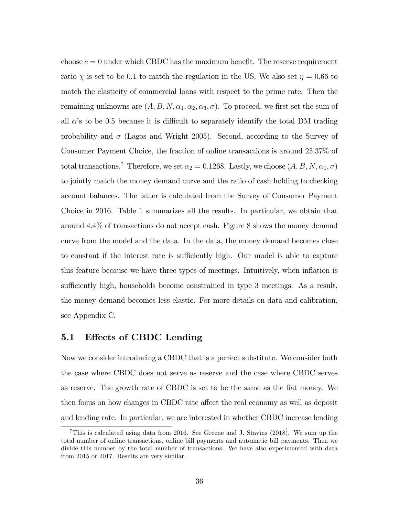choose  $c = 0$  under which CBDC has the maximum benefit. The reserve requirement ratio  $\chi$  is set to be 0.1 to match the regulation in the US. We also set  $\eta = 0.66$  to match the elasticity of commercial loans with respect to the prime rate. Then the remaining unknowns are  $(A, B, N, \alpha_1, \alpha_2, \alpha_3, \sigma)$ . To proceed, we first set the sum of all  $\alpha$ 's to be 0.5 because it is difficult to separately identify the total DM trading probability and  $\sigma$  (Lagos and Wright 2005). Second, according to the Survey of Consumer Payment Choice, the fraction of online transactions is around 25:37% of total transactions.<sup>7</sup> Therefore, we set  $\alpha_2 = 0.1268$ . Lastly, we choose  $(A, B, N, \alpha_1, \sigma)$ to jointly match the money demand curve and the ratio of cash holding to checking account balances. The latter is calculated from the Survey of Consumer Payment Choice in 2016. Table 1 summarizes all the results. In particular, we obtain that around 4:4% of transactions do not accept cash. Figure 8 shows the money demand curve from the model and the data. In the data, the money demand becomes close to constant if the interest rate is sufficiently high. Our model is able to capture this feature because we have three types of meetings. Intuitively, when ináation is sufficiently high, households become constrained in type 3 meetings. As a result, the money demand becomes less elastic. For more details on data and calibration, see Appendix C.

### 5.1 Effects of CBDC Lending

Now we consider introducing a CBDC that is a perfect substitute. We consider both the case where CBDC does not serve as reserve and the case where CBDC serves as reserve. The growth rate of CBDC is set to be the same as the fiat money. We then focus on how changes in CBDC rate affect the real economy as well as deposit and lending rate. In particular, we are interested in whether CBDC increase lending

<sup>&</sup>lt;sup>7</sup>This is calculated using data from 2016. See Greene and J. Stavins  $(2018)$ . We sum up the total number of online transactions, online bill payments and automatic bill payments. Then we divide this number by the total number of transactions. We have also experimented with data from 2015 or 2017. Results are very similar.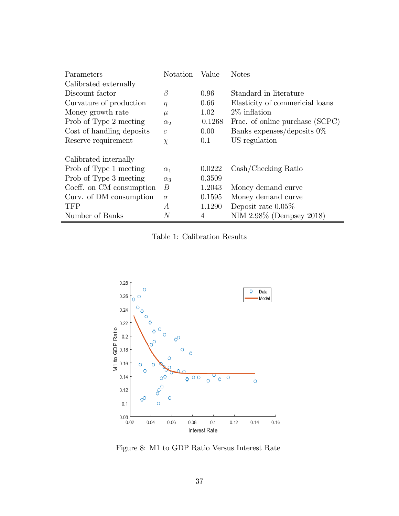| Parameters                | Notation         | Value  | <b>Notes</b>                                        |
|---------------------------|------------------|--------|-----------------------------------------------------|
| Calibrated externally     |                  |        |                                                     |
| Discount factor           | $\beta$          | 0.96   | Standard in literature                              |
| Curvature of production   | $\eta$           | 0.66   | Elasticity of commericial loans                     |
| Money growth rate         | $\mu$            | 1.02   | $2\%$ inflation                                     |
| Prob of Type 2 meeting    | $\alpha_2$       | 0.1268 | Frac. of online purchase (SCPC)                     |
| Cost of handling deposits | $\mathcal{C}$    | 0.00   | Banks expenses/deposits $0\%$                       |
| Reserve requirement       | $\chi$           | 0.1    | US regulation                                       |
| Calibrated internally     |                  |        |                                                     |
| Prob of Type 1 meeting    | $\alpha_1$       | 0.0222 | $\operatorname{Cash}/\operatorname{Checking}$ Ratio |
| Prob of Type 3 meeting    | $\alpha_3$       | 0.3509 |                                                     |
| Coeff. on CM consumption  | $\boldsymbol{B}$ | 1.2043 | Money demand curve                                  |
| Curv. of DM consumption   | $\sigma$         | 0.1595 | Money demand curve                                  |
| <b>TFP</b>                | А                | 1.1290 | Deposit rate $0.05\%$                               |
| Number of Banks           | N                | 4      | NIM 2.98% (Dempsey 2018)                            |

Table 1: Calibration Results



Figure 8: M1 to GDP Ratio Versus Interest Rate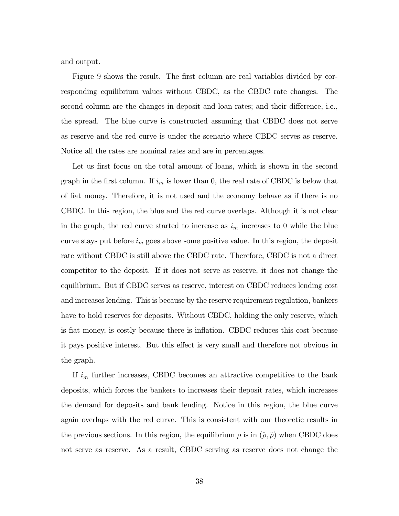and output.

Figure 9 shows the result. The first column are real variables divided by corresponding equilibrium values without CBDC, as the CBDC rate changes. The second column are the changes in deposit and loan rates; and their difference, i.e., the spread. The blue curve is constructed assuming that CBDC does not serve as reserve and the red curve is under the scenario where CBDC serves as reserve. Notice all the rates are nominal rates and are in percentages.

Let us first focus on the total amount of loans, which is shown in the second graph in the first column. If  $i_m$  is lower than 0, the real rate of CBDC is below that of fiat money. Therefore, it is not used and the economy behave as if there is no CBDC. In this region, the blue and the red curve overlaps. Although it is not clear in the graph, the red curve started to increase as  $i<sub>m</sub>$  increases to 0 while the blue curve stays put before  $i_m$  goes above some positive value. In this region, the deposit rate without CBDC is still above the CBDC rate. Therefore, CBDC is not a direct competitor to the deposit. If it does not serve as reserve, it does not change the equilibrium. But if CBDC serves as reserve, interest on CBDC reduces lending cost and increases lending. This is because by the reserve requirement regulation, bankers have to hold reserves for deposits. Without CBDC, holding the only reserve, which is fiat money, is costly because there is inflation. CBDC reduces this cost because it pays positive interest. But this effect is very small and therefore not obvious in the graph.

If  $i_m$  further increases, CBDC becomes an attractive competitive to the bank deposits, which forces the bankers to increases their deposit rates, which increases the demand for deposits and bank lending. Notice in this region, the blue curve again overlaps with the red curve. This is consistent with our theoretic results in the previous sections. In this region, the equilibrium  $\rho$  is in  $(\hat{\rho}, \check{\rho})$  when CBDC does not serve as reserve. As a result, CBDC serving as reserve does not change the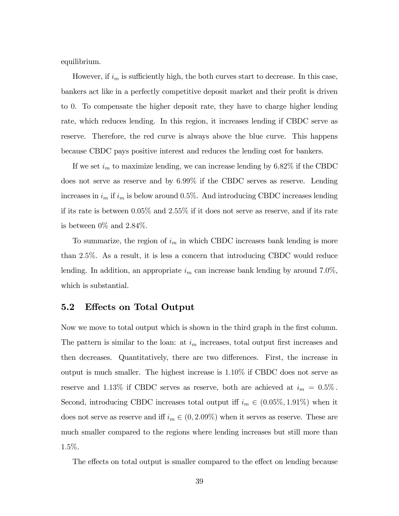equilibrium.

However, if  $i_m$  is sufficiently high, the both curves start to decrease. In this case, bankers act like in a perfectly competitive deposit market and their profit is driven to 0. To compensate the higher deposit rate, they have to charge higher lending rate, which reduces lending. In this region, it increases lending if CBDC serve as reserve. Therefore, the red curve is always above the blue curve. This happens because CBDC pays positive interest and reduces the lending cost for bankers.

If we set  $i_m$  to maximize lending, we can increase lending by 6.82% if the CBDC does not serve as reserve and by 6:99% if the CBDC serves as reserve. Lending increases in  $i_m$  if  $i_m$  is below around 0.5%. And introducing CBDC increases lending if its rate is between 0:05% and 2:55% if it does not serve as reserve, and if its rate is between  $0\%$  and  $2.84\%$ .

To summarize, the region of  $i_m$  in which CBDC increases bank lending is more than 2:5%. As a result, it is less a concern that introducing CBDC would reduce lending. In addition, an appropriate  $i_m$  can increase bank lending by around 7.0%, which is substantial.

### 5.2 Effects on Total Output

Now we move to total output which is shown in the third graph in the first column. The pattern is similar to the loan: at  $i_m$  increases, total output first increases and then decreases. Quantitatively, there are two differences. First, the increase in output is much smaller. The highest increase is 1:10% if CBDC does not serve as reserve and 1.13% if CBDC serves as reserve, both are achieved at  $i_m = 0.5\%$ . Second, introducing CBDC increases total output iff  $i_m \in (0.05\%, 1.91\%)$  when it does not serve as reserve and iff  $i_m \in (0, 2.09\%)$  when it serves as reserve. These are much smaller compared to the regions where lending increases but still more than 1:5%.

The effects on total output is smaller compared to the effect on lending because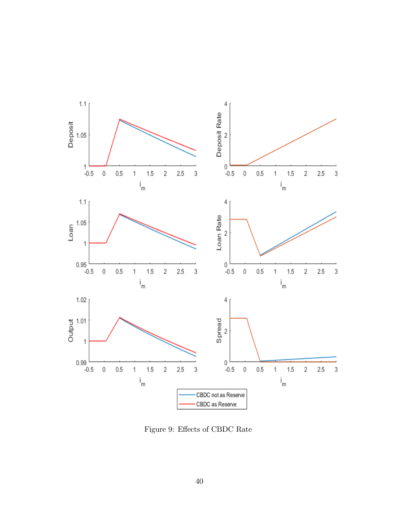

Figure 9: Effects of CBDC Rate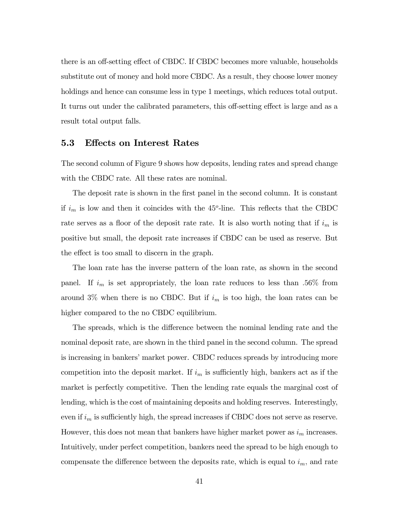there is an off-setting effect of CBDC. If CBDC becomes more valuable, households substitute out of money and hold more CBDC. As a result, they choose lower money holdings and hence can consume less in type 1 meetings, which reduces total output. It turns out under the calibrated parameters, this off-setting effect is large and as a result total output falls.

#### 5.3 Effects on Interest Rates

The second column of Figure 9 shows how deposits, lending rates and spread change with the CBDC rate. All these rates are nominal.

The deposit rate is shown in the first panel in the second column. It is constant if  $i_m$  is low and then it coincides with the 45<sup>o</sup>-line. This reflects that the CBDC rate serves as a floor of the deposit rate rate. It is also worth noting that if  $i_m$  is positive but small, the deposit rate increases if CBDC can be used as reserve. But the effect is too small to discern in the graph.

The loan rate has the inverse pattern of the loan rate, as shown in the second panel. If  $i_m$  is set appropriately, the loan rate reduces to less than .56% from around 3% when there is no CBDC. But if  $i_m$  is too high, the loan rates can be higher compared to the no CBDC equilibrium.

The spreads, which is the difference between the nominal lending rate and the nominal deposit rate, are shown in the third panel in the second column. The spread is increasing in bankers' market power. CBDC reduces spreads by introducing more competition into the deposit market. If  $i_m$  is sufficiently high, bankers act as if the market is perfectly competitive. Then the lending rate equals the marginal cost of lending, which is the cost of maintaining deposits and holding reserves. Interestingly, even if  $i_m$  is sufficiently high, the spread increases if CBDC does not serve as reserve. However, this does not mean that bankers have higher market power as  $i<sub>m</sub>$  increases. Intuitively, under perfect competition, bankers need the spread to be high enough to compensate the difference between the deposits rate, which is equal to  $i<sub>m</sub>$ , and rate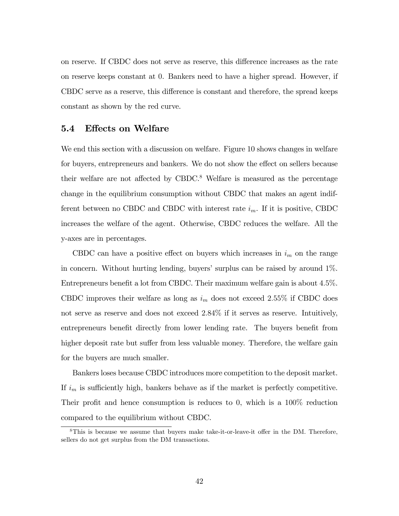on reserve. If CBDC does not serve as reserve, this difference increases as the rate on reserve keeps constant at 0. Bankers need to have a higher spread. However, if CBDC serve as a reserve, this difference is constant and therefore, the spread keeps constant as shown by the red curve.

### 5.4 Effects on Welfare

We end this section with a discussion on welfare. Figure 10 shows changes in welfare for buyers, entrepreneurs and bankers. We do not show the effect on sellers because their welfare are not affected by CBDC.<sup>8</sup> Welfare is measured as the percentage change in the equilibrium consumption without CBDC that makes an agent indifferent between no CBDC and CBDC with interest rate  $i_m$ . If it is positive, CBDC increases the welfare of the agent. Otherwise, CBDC reduces the welfare. All the y-axes are in percentages.

CBDC can have a positive effect on buyers which increases in  $i<sub>m</sub>$  on the range in concern. Without hurting lending, buyers' surplus can be raised by around  $1\%$ . Entrepreneurs benefit a lot from CBDC. Their maximum welfare gain is about 4.5%. CBDC improves their welfare as long as  $i_m$  does not exceed 2.55% if CBDC does not serve as reserve and does not exceed 2:84% if it serves as reserve. Intuitively, entrepreneurs benefit directly from lower lending rate. The buyers benefit from higher deposit rate but suffer from less valuable money. Therefore, the welfare gain for the buyers are much smaller.

Bankers loses because CBDC introduces more competition to the deposit market. If  $i_m$  is sufficiently high, bankers behave as if the market is perfectly competitive. Their profit and hence consumption is reduces to 0, which is a  $100\%$  reduction compared to the equilibrium without CBDC.

 $8$ This is because we assume that buyers make take-it-or-leave-it offer in the DM. Therefore, sellers do not get surplus from the DM transactions.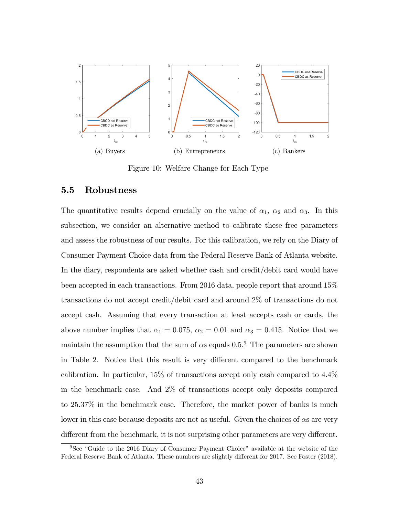

Figure 10: Welfare Change for Each Type

### 5.5 Robustness

The quantitative results depend crucially on the value of  $\alpha_1$ ,  $\alpha_2$  and  $\alpha_3$ . In this subsection, we consider an alternative method to calibrate these free parameters and assess the robustness of our results. For this calibration, we rely on the Diary of Consumer Payment Choice data from the Federal Reserve Bank of Atlanta website. In the diary, respondents are asked whether cash and credit/debit card would have been accepted in each transactions. From 2016 data, people report that around 15% transactions do not accept credit/debit card and around 2% of transactions do not accept cash. Assuming that every transaction at least accepts cash or cards, the above number implies that  $\alpha_1 = 0.075$ ,  $\alpha_2 = 0.01$  and  $\alpha_3 = 0.415$ . Notice that we maintain the assumption that the sum of  $\alpha$ s equals 0.5.<sup>9</sup> The parameters are shown in Table 2. Notice that this result is very different compared to the benchmark calibration. In particular, 15% of transactions accept only cash compared to 4:4% in the benchmark case. And 2% of transactions accept only deposits compared to 25.37% in the benchmark case. Therefore, the market power of banks is much lower in this case because deposits are not as useful. Given the choices of  $\alpha s$  are very different from the benchmark, it is not surprising other parameters are very different.

 $9See$  "Guide to the 2016 Diary of Consumer Payment Choice" available at the website of the Federal Reserve Bank of Atlanta. These numbers are slightly different for 2017. See Foster (2018).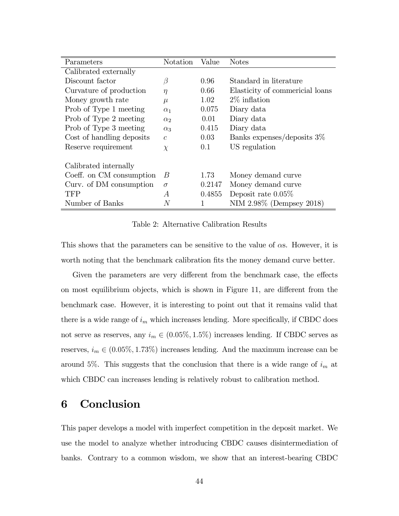| Parameters                | Notation       | Value  | <b>Notes</b>                    |
|---------------------------|----------------|--------|---------------------------------|
| Calibrated externally     |                |        |                                 |
| Discount factor           | $\beta$        | 0.96   | Standard in literature          |
| Curvature of production   | $\eta$         | 0.66   | Elasticity of commericial loans |
| Money growth rate         | $\mu$          | 1.02   | $2\%$ inflation                 |
| Prob of Type 1 meeting    | $\alpha_1$     | 0.075  | Diary data                      |
| Prob of Type 2 meeting    | $\alpha$       | 0.01   | Diary data                      |
| Prob of Type 3 meeting    | $\alpha_3$     | 0.415  | Diary data                      |
| Cost of handling deposits | $\overline{c}$ | 0.03   | Banks expenses/deposits $3\%$   |
| Reserve requirement       | $\chi$         | 0.1    | US regulation                   |
| Calibrated internally     |                |        |                                 |
| Coeff. on CM consumption  | B              | 1.73   | Money demand curve              |
| Curv. of DM consumption   | $\sigma$       | 0.2147 | Money demand curve              |
| TFP                       | A              | 0.4855 | Deposit rate $0.05\%$           |
| Number of Banks           | N              | 1      | NIM 2.98% (Dempsey 2018)        |

Table 2: Alternative Calibration Results

This shows that the parameters can be sensitive to the value of  $\alpha$ s. However, it is worth noting that the benchmark calibration fits the money demand curve better.

Given the parameters are very different from the benchmark case, the effects on most equilibrium objects, which is shown in Figure 11, are different from the benchmark case. However, it is interesting to point out that it remains valid that there is a wide range of  $i_m$  which increases lending. More specifically, if CBDC does not serve as reserves, any  $i_m \in (0.05\%, 1.5\%)$  increases lending. If CBDC serves as reserves,  $i_m \in (0.05\%, 1.73\%)$  increases lending. And the maximum increase can be around 5%. This suggests that the conclusion that there is a wide range of  $i_m$  at which CBDC can increases lending is relatively robust to calibration method.

# 6 Conclusion

This paper develops a model with imperfect competition in the deposit market. We use the model to analyze whether introducing CBDC causes disintermediation of banks. Contrary to a common wisdom, we show that an interest-bearing CBDC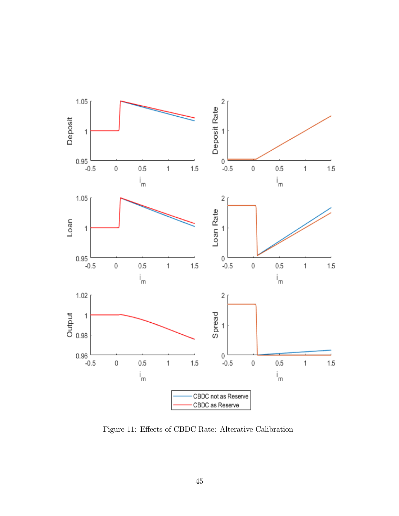

Figure 11: Effects of CBDC Rate: Alterative Calibration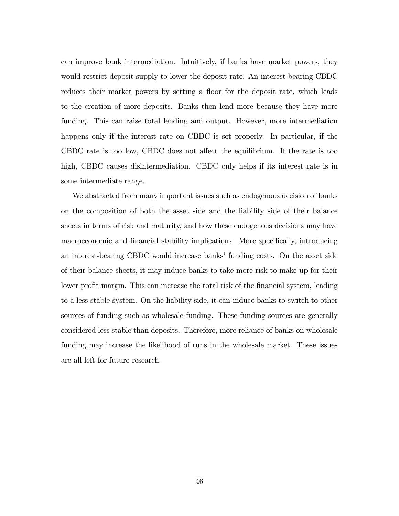can improve bank intermediation. Intuitively, if banks have market powers, they would restrict deposit supply to lower the deposit rate. An interest-bearing CBDC reduces their market powers by setting a floor for the deposit rate, which leads to the creation of more deposits. Banks then lend more because they have more funding. This can raise total lending and output. However, more intermediation happens only if the interest rate on CBDC is set properly. In particular, if the CBDC rate is too low, CBDC does not affect the equilibrium. If the rate is too high, CBDC causes disintermediation. CBDC only helps if its interest rate is in some intermediate range.

We abstracted from many important issues such as endogenous decision of banks on the composition of both the asset side and the liability side of their balance sheets in terms of risk and maturity, and how these endogenous decisions may have macroeconomic and financial stability implications. More specifically, introducing an interest-bearing CBDC would increase banks' funding costs. On the asset side of their balance sheets, it may induce banks to take more risk to make up for their lower profit margin. This can increase the total risk of the financial system, leading to a less stable system. On the liability side, it can induce banks to switch to other sources of funding such as wholesale funding. These funding sources are generally considered less stable than deposits. Therefore, more reliance of banks on wholesale funding may increase the likelihood of runs in the wholesale market. These issues are all left for future research.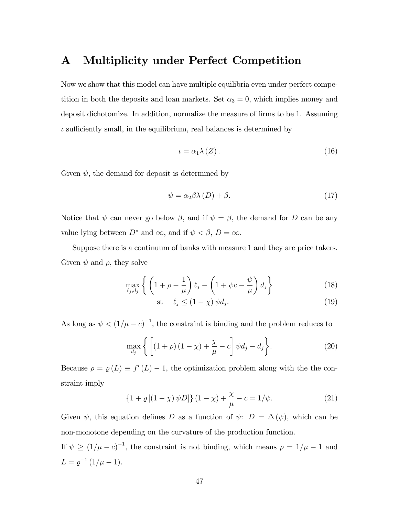### A Multiplicity under Perfect Competition

Now we show that this model can have multiple equilibria even under perfect competition in both the deposits and loan markets. Set  $\alpha_3 = 0$ , which implies money and deposit dichotomize. In addition, normalize the measure of firms to be 1. Assuming  $\iota$  sufficiently small, in the equilibrium, real balances is determined by

$$
\iota = \alpha_1 \lambda \left( Z \right). \tag{16}
$$

Given  $\psi$ , the demand for deposit is determined by

$$
\psi = \alpha_2 \beta \lambda(D) + \beta. \tag{17}
$$

Notice that  $\psi$  can never go below  $\beta$ , and if  $\psi = \beta$ , the demand for D can be any value lying between  $D^*$  and  $\infty$ , and if  $\psi < \beta$ ,  $D = \infty$ .

Suppose there is a continuum of banks with measure 1 and they are price takers. Given  $\psi$  and  $\rho$ , they solve

$$
\max_{\ell_j, d_j} \left\{ \left( 1 + \rho - \frac{1}{\mu} \right) \ell_j - \left( 1 + \psi c - \frac{\psi}{\mu} \right) d_j \right\} \tag{18}
$$

$$
\text{st} \quad \ell_j \le (1 - \chi) \, \psi d_j. \tag{19}
$$

As long as  $\psi < (1/\mu - c)^{-1}$ , the constraint is binding and the problem reduces to

$$
\max_{d_j} \left\{ \left[ (1+\rho)(1-\chi) + \frac{\chi}{\mu} - c \right] \psi d_j - d_j \right\}.
$$
 (20)

Because  $\rho = \varrho(L) \equiv f'(L) - 1$ , the optimization problem along with the the constraint imply

$$
\{1 + \varrho\left[\left(1 - \chi\right)\psi D\right]\}\left(1 - \chi\right) + \frac{\chi}{\mu} - c = 1/\psi. \tag{21}
$$

Given  $\psi$ , this equation defines D as a function of  $\psi$ :  $D = \Delta(\psi)$ , which can be non-monotone depending on the curvature of the production function.

If  $\psi \geq (1/\mu - c)^{-1}$ , the constraint is not binding, which means  $\rho = 1/\mu - 1$  and  $L = \varrho^{-1} (1/\mu - 1).$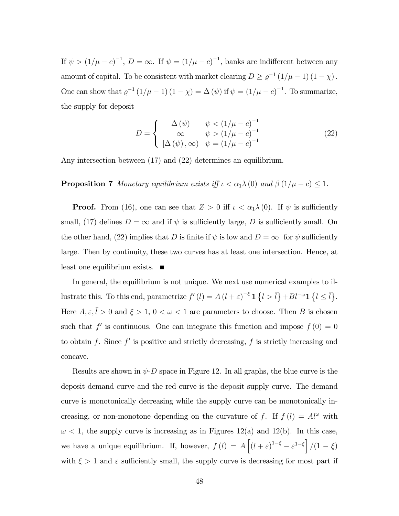If  $\psi > (1/\mu - c)^{-1}$ ,  $D = \infty$ . If  $\psi = (1/\mu - c)^{-1}$ , banks are indifferent between any amount of capital. To be consistent with market clearing  $D \ge \varrho^{-1}(1/\mu - 1)(1 - \chi)$ . One can show that  $\varrho^{-1}(1/\mu - 1)(1 - \chi) = \Delta(\psi)$  if  $\psi = (1/\mu - c)^{-1}$ . To summarize, the supply for deposit

$$
D = \begin{cases} \Delta(\psi) & \psi < (1/\mu - c)^{-1} \\ \infty & \psi > (1/\mu - c)^{-1} \\ [\Delta(\psi), \infty) & \psi = (1/\mu - c)^{-1} \end{cases}
$$
(22)

Any intersection between (17) and (22) determines an equilibrium.

**Proposition 7** Monetary equilibrium exists iff  $\iota < \alpha_1 \lambda(0)$  and  $\beta(1/\mu - c) \leq 1$ .

**Proof.** From (16), one can see that  $Z > 0$  iff  $\iota < \alpha_1 \lambda(0)$ . If  $\psi$  is sufficiently small, (17) defines  $D = \infty$  and if  $\psi$  is sufficiently large, D is sufficiently small. On the other hand, (22) implies that D is finite if  $\psi$  is low and  $D = \infty$  for  $\psi$  sufficiently large. Then by continuity, these two curves has at least one intersection. Hence, at least one equilibrium exists.

In general, the equilibrium is not unique. We next use numerical examples to illustrate this. To this end, parametrize  $f'(l) = A(l+\varepsilon)^{-\xi} \mathbf{1} \{l > \bar{l}\} + Bl^{-\omega} \mathbf{1} \{l \leq \bar{l}\}.$ Here  $A, \varepsilon, \overline{l} > 0$  and  $\xi > 1, 0 < \omega < 1$  are parameters to choose. Then B is chosen such that  $f'$  is continuous. One can integrate this function and impose  $f(0) = 0$ to obtain f. Since  $f'$  is positive and strictly decreasing, f is strictly increasing and concave.

Results are shown in  $\psi$ -D space in Figure 12. In all graphs, the blue curve is the deposit demand curve and the red curve is the deposit supply curve. The demand curve is monotonically decreasing while the supply curve can be monotonically increasing, or non-monotone depending on the curvature of f. If  $f(l) = A l^{\omega}$  with  $\omega$  < 1, the supply curve is increasing as in Figures 12(a) and 12(b). In this case, we have a unique equilibrium. If, however,  $f(l) = A\left[(l+\varepsilon)^{1-\xi} - \varepsilon^{1-\xi}\right]/(1-\xi)$ with  $\xi > 1$  and  $\varepsilon$  sufficiently small, the supply curve is decreasing for most part if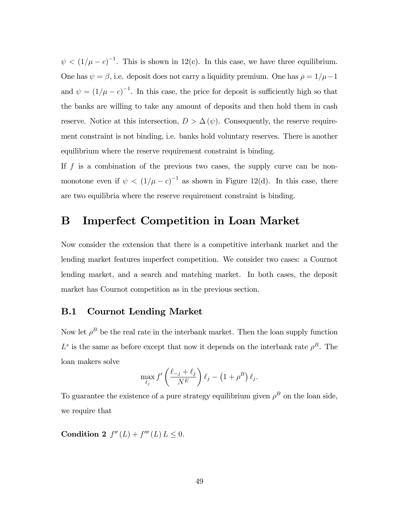$\psi < (1/\mu - c)^{-1}$ . This is shown in 12(c). In this case, we have three equilibrium. One has  $\psi = \beta$ , i.e. deposit does not carry a liquidity premium. One has  $\rho = 1/\mu - 1$ and  $\psi = (1/\mu - c)^{-1}$ . In this case, the price for deposit is sufficiently high so that the banks are willing to take any amount of deposits and then hold them in cash reserve. Notice at this intersection,  $D > \Delta(\psi)$ . Consequently, the reserve requirement constraint is not binding, i.e. banks hold voluntary reserves. There is another equilibrium where the reserve requirement constraint is binding.

If  $f$  is a combination of the previous two cases, the supply curve can be nonmonotone even if  $\psi < (1/\mu - c)^{-1}$  as shown in Figure 12(d). In this case, there are two equilibria where the reserve requirement constraint is binding.

### B Imperfect Competition in Loan Market

Now consider the extension that there is a competitive interbank market and the lending market features imperfect competition. We consider two cases: a Cournot lending market, and a search and matching market. In both cases, the deposit market has Cournot competition as in the previous section.

### B.1 Cournot Lending Market

Now let  $\rho^B$  be the real rate in the interbank market. Then the loan supply function  $L^s$  is the same as before except that now it depends on the interbank rate  $\rho^B$ . The loan makers solve

$$
\max_{\ell_j} f' \left( \frac{\ell_{-j} + \ell_j}{N^E} \right) \ell_j - \left( 1 + \rho^B \right) \ell_j.
$$

To guarantee the existence of a pure strategy equilibrium given  $\rho^B$  on the loan side, we require that

**Condition 2**  $f''(L) + f'''(L) L \leq 0$ .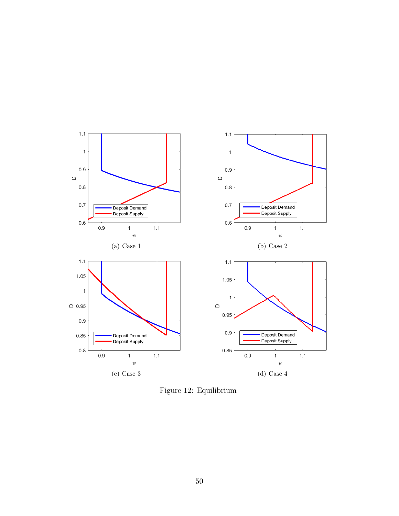

Figure 12: Equilibrium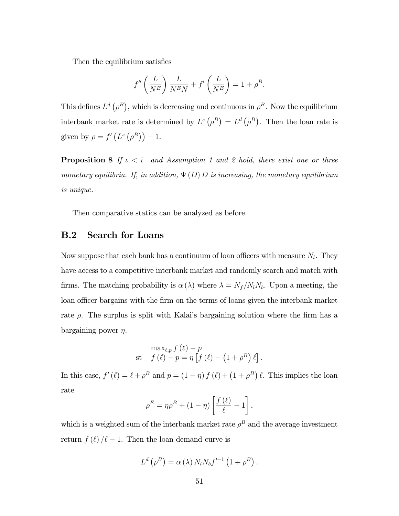Then the equilibrium satisfies

$$
f''\left(\frac{L}{N^E}\right)\frac{L}{N^E N} + f'\left(\frac{L}{N^E}\right) = 1 + \rho^B.
$$

This defines  $L^d(\rho^B)$ , which is decreasing and continuous in  $\rho^B$ . Now the equilibrium interbank market rate is determined by  $L^s(\rho^B) = L^d(\rho^B)$ . Then the loan rate is given by  $\rho = f'(L^s(\rho^B)) - 1$ .

**Proposition 8** If  $\iota < \bar{\iota}$  and Assumption 1 and 2 hold, there exist one or three monetary equilibria. If, in addition,  $\Psi(D) D$  is increasing, the monetary equilibrium is unique.

Then comparative statics can be analyzed as before.

### B.2 Search for Loans

Now suppose that each bank has a continuum of loan officers with measure  $N_l$ . They have access to a competitive interbank market and randomly search and match with firms. The matching probability is  $\alpha(\lambda)$  where  $\lambda = N_f/N_lN_b$ . Upon a meeting, the loan officer bargains with the firm on the terms of loans given the interbank market rate  $\rho$ . The surplus is split with Kalai's bargaining solution where the firm has a bargaining power  $\eta$ .

$$
\max_{\ell,p} f(\ell) - p
$$
  
st  $f(\ell) - p = \eta \left[ f(\ell) - (1 + \rho^B) \ell \right].$ 

In this case,  $f'(\ell) = \ell + \rho^B$  and  $p = (1 - \eta) f(\ell) + (1 + \rho^B) \ell$ . This implies the loan rate

$$
\rho^{E} = \eta \rho^{B} + (1 - \eta) \left[ \frac{f(\ell)}{\ell} - 1 \right],
$$

which is a weighted sum of the interbank market rate  $\rho^B$  and the average investment return  $f(\ell) / \ell - 1$ . Then the loan demand curve is

$$
L^{d}(\rho^{B}) = \alpha(\lambda) N_{l} N_{b} f'^{-1} (1 + \rho^{B}).
$$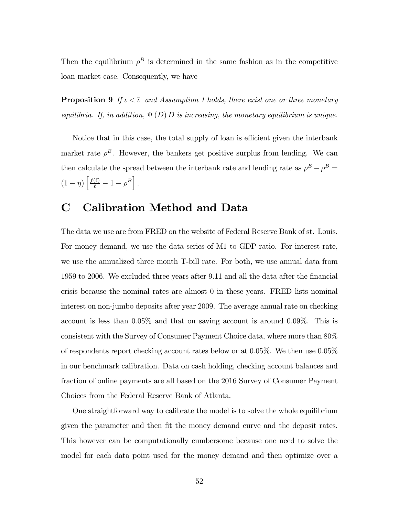Then the equilibrium  $\rho^B$  is determined in the same fashion as in the competitive loan market case. Consequently, we have

**Proposition 9** If  $\iota < \overline{\iota}$  and Assumption 1 holds, there exist one or three monetary equilibria. If, in addition,  $\Psi(D) D$  is increasing, the monetary equilibrium is unique.

Notice that in this case, the total supply of loan is efficient given the interbank market rate  $\rho^B$ . However, the bankers get positive surplus from lending. We can then calculate the spread between the interbank rate and lending rate as  $\rho^E - \rho^B =$  $(1 - \eta) \left[ \frac{f(\ell)}{\ell} - 1 - \rho^B \right].$ 

## C Calibration Method and Data

The data we use are from FRED on the website of Federal Reserve Bank of st. Louis. For money demand, we use the data series of M1 to GDP ratio. For interest rate, we use the annualized three month T-bill rate. For both, we use annual data from 1959 to 2006. We excluded three years after 9.11 and all the data after the Önancial crisis because the nominal rates are almost 0 in these years. FRED lists nominal interest on non-jumbo deposits after year 2009. The average annual rate on checking account is less than 0:05% and that on saving account is around 0:09%. This is consistent with the Survey of Consumer Payment Choice data, where more than 80% of respondents report checking account rates below or at  $0.05\%$ . We then use  $0.05\%$ in our benchmark calibration. Data on cash holding, checking account balances and fraction of online payments are all based on the 2016 Survey of Consumer Payment Choices from the Federal Reserve Bank of Atlanta.

One straightforward way to calibrate the model is to solve the whole equilibrium given the parameter and then Öt the money demand curve and the deposit rates. This however can be computationally cumbersome because one need to solve the model for each data point used for the money demand and then optimize over a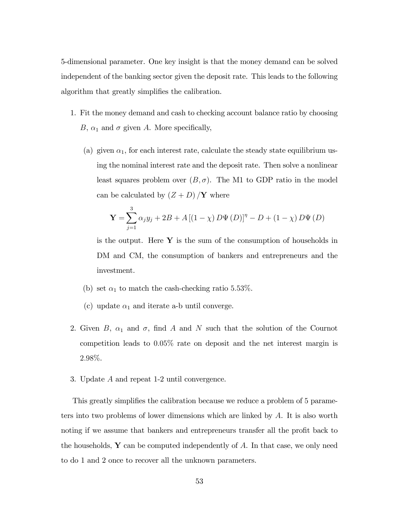5-dimensional parameter. One key insight is that the money demand can be solved independent of the banking sector given the deposit rate. This leads to the following algorithm that greatly simplifies the calibration.

- 1. Fit the money demand and cash to checking account balance ratio by choosing B,  $\alpha_1$  and  $\sigma$  given A. More specifically,
	- (a) given  $\alpha_1$ , for each interest rate, calculate the steady state equilibrium using the nominal interest rate and the deposit rate. Then solve a nonlinear least squares problem over  $(B, \sigma)$ . The M1 to GDP ratio in the model can be calculated by  $(Z + D) / Y$  where

$$
\mathbf{Y} = \sum_{j=1}^{3} \alpha_j y_j + 2B + A [(1 - \chi) D \Psi (D)]^{\eta} - D + (1 - \chi) D \Psi (D)
$$

is the output. Here  $Y$  is the sum of the consumption of households in DM and CM, the consumption of bankers and entrepreneurs and the investment.

- (b) set  $\alpha_1$  to match the cash-checking ratio 5.53%.
- (c) update  $\alpha_1$  and iterate a-b until converge.
- 2. Given B,  $\alpha_1$  and  $\sigma$ , find A and N such that the solution of the Cournot competition leads to 0:05% rate on deposit and the net interest margin is 2:98%.
- 3. Update A and repeat 1-2 until convergence.

This greatly simplifies the calibration because we reduce a problem of 5 parameters into two problems of lower dimensions which are linked by A. It is also worth noting if we assume that bankers and entrepreneurs transfer all the profit back to the households,  $\bf{Y}$  can be computed independently of  $\bf{A}$ . In that case, we only need to do 1 and 2 once to recover all the unknown parameters.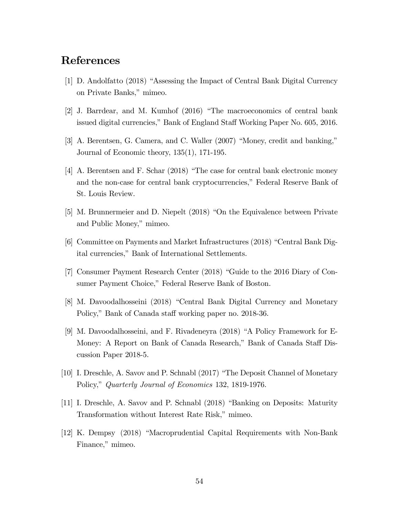### References

- [1] D. Andolfatto (2018) "Assessing the Impact of Central Bank Digital Currency on Private Banks," mimeo.
- $[2]$  J. Barrdear, and M. Kumhof  $(2016)$  "The macroeconomics of central bank issued digital currencies," Bank of England Staff Working Paper No. 605, 2016.
- $[3]$  A. Berentsen, G. Camera, and C. Waller  $(2007)$  "Money, credit and banking," Journal of Economic theory, 135(1), 171-195.
- $[4]$  A. Berentsen and F. Schar (2018) "The case for central bank electronic money and the non-case for central bank cryptocurrencies," Federal Reserve Bank of St. Louis Review.
- [5] M. Brunnermeier and D. Niepelt  $(2018)$  "On the Equivalence between Private and Public Money," mimeo.
- $[6]$  Committee on Payments and Market Infrastructures (2018) "Central Bank Digital currencies," Bank of International Settlements.
- [7] Consumer Payment Research Center (2018) "Guide to the 2016 Diary of Consumer Payment Choice," Federal Reserve Bank of Boston.
- [8] M. Davoodalhosseini (2018) "Central Bank Digital Currency and Monetary Policy," Bank of Canada staff working paper no. 2018-36.
- [9] M. Davoodalhosseini, and F. Rivadeneyra (2018) "A Policy Framework for E-Money: A Report on Bank of Canada Research," Bank of Canada Staff Discussion Paper 2018-5.
- [10] I. Dreschle, A. Savov and P. Schnabl  $(2017)$  "The Deposit Channel of Monetary Policy," Quarterly Journal of Economics 132, 1819-1976.
- [11] I. Dreschle, A. Savov and P. Schnabl (2018) "Banking on Deposits: Maturity Transformation without Interest Rate Risk," mimeo.
- [12] K. Dempsy (2018) "Macroprudential Capital Requirements with Non-Bank Finance," mimeo.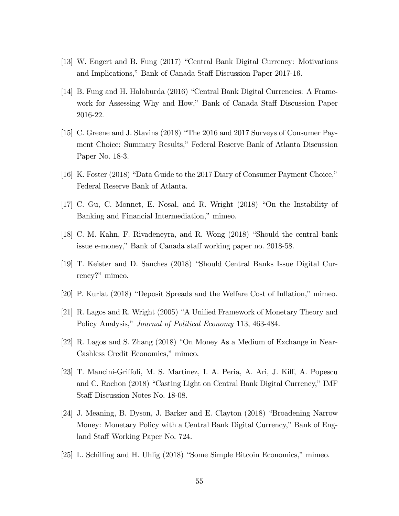- [13] W. Engert and B. Fung (2017) "Central Bank Digital Currency: Motivations and Implications," Bank of Canada Staff Discussion Paper 2017-16.
- [14] B. Fung and H. Halaburda (2016) "Central Bank Digital Currencies: A Framework for Assessing Why and How," Bank of Canada Staff Discussion Paper 2016-22.
- [15] C. Greene and J. Stavins  $(2018)$  "The 2016 and 2017 Surveys of Consumer Payment Choice: Summary Results," Federal Reserve Bank of Atlanta Discussion Paper No. 18-3.
- $[16]$  K. Foster  $(2018)$  "Data Guide to the 2017 Diary of Consumer Payment Choice," Federal Reserve Bank of Atlanta.
- [17] C. Gu, C. Monnet, E. Nosal, and R. Wright  $(2018)$  "On the Instability of Banking and Financial Intermediation," mimeo.
- [18] C. M. Kahn, F. Rivadeneyra, and R. Wong  $(2018)$  "Should the central bank issue e-money," Bank of Canada staff working paper no. 2018-58.
- [19] T. Keister and D. Sanches (2018) "Should Central Banks Issue Digital Currency?" mimeo.
- $[20]$  P. Kurlat  $(2018)$  "Deposit Spreads and the Welfare Cost of Inflation," mimeo.
- $[21]$  R. Lagos and R. Wright (2005) "A Unified Framework of Monetary Theory and Policy Analysis," Journal of Political Economy 113, 463-484.
- [22] R. Lagos and S. Zhang  $(2018)$  "On Money As a Medium of Exchange in Near-Cashless Credit Economies," mimeo.
- [23] T. Mancini-Griffoli, M. S. Martinez, I. A. Peria, A. Ari, J. Kiff, A. Popescu and C. Rochon (2018) "Casting Light on Central Bank Digital Currency," IMF Staff Discussion Notes No. 18-08.
- [24] J. Meaning, B. Dyson, J. Barker and E. Clayton  $(2018)$  "Broadening Narrow Money: Monetary Policy with a Central Bank Digital Currency," Bank of England Staff Working Paper No. 724.
- [25] L. Schilling and H. Uhlig (2018) "Some Simple Bitcoin Economics," mimeo.